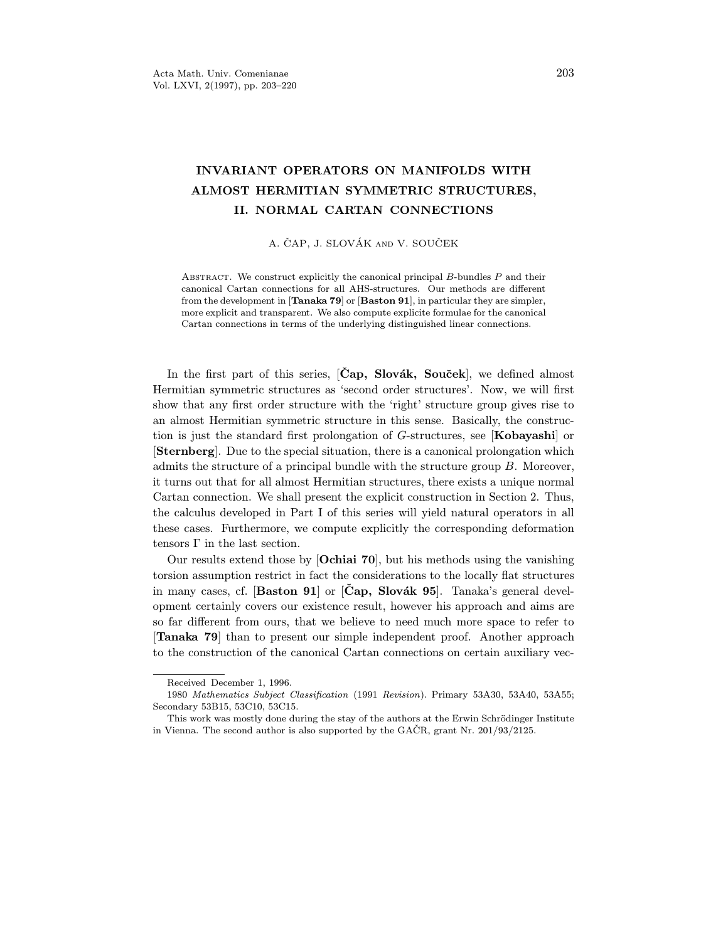# INVARIANT OPERATORS ON MANIFOLDS WITH<br>ALMOST HERMITIAN SYMMETRIC STRUCTURES, II. NORMAL CARTAN CONNECTIONS

A. ČAP, J. SLOVÁK AND V. SOUČEK

ABSTRACT. We construct explicitly the canonical principal  $B$ -bundles  $P$  and their canonical Cartan connections for all AHS-structures. Our methods are different from the development in [Tanaka  $79$ ] or [Baston  $91$ ], in particular they are simpler, more explicit and transparent. We also compute explicite formulae for the canonical  $\Gamma$  computies in terms of the underlying distinguished linear connections. Cartan connections in terms of the underlying distinguished linear connections.

In the first part of this series,  $[\text{Cap}, \text{Slovák}, \text{Souček}]$ , we defined almost Hermitian symmetric structures as 'second order structures'. Now, we will first show that any first order structure with the 'right' structure group gives rise to an almost Hermitian symmetric structure in this sense. Basically, the construction is just the standard first prolongation of  $G$ -structures, see [**Kobayashi**] or **[Sternberg**]. Due to the special situation, there is a canonical prolongation which admits the structure of a principal bundle with the structure group  $B$ . Moreover, it turns out that for all almost Hermitian structures, there exists a unique normal Cartan connection. We shall present the explicit construction in Section 2. Thus, the calculus developed in Part I of this series will yield natural operators in all these cases. Furthermore, we compute explicitly the corresponding deformation tensors  $\Gamma$  in the last section.

Our results extend those by [Ochiai 70], but his methods using the vanishing torsion assumption restrict in fact the considerations to the locally flat structures in many cases, cf. [Baston 91] or  $[\text{Čap}, \text{ Slovák 95}]$ . Tanaka's general development certainly covers our existence result, however his approach and aims are so far different from ours, that we believe to need much more space to refer to **Tanaka 79** than to present our simple independent proof. Another approach  $\left[1\right]$  than to present our simple independent proof. Another approach  $\left[1\right]$  $t \sim t$  to the construction of the canonical Cartan connections on certain auxiliary vec-

Received December 1, 1996.<br>1980 Mathematics Subject Classification (1991 Revision). Primary 53A30, 53A40, 53A55; Secondary 53B15, 53C10, 53C15.

This work was mostly done during the stay of the authors at the Erwin Schrödinger Institute The state was most was most was most was most was the state of the Erwin Schrüder Institute in Vienna. The second author is also supported by the GACR, grant Nr. 201/93/2125.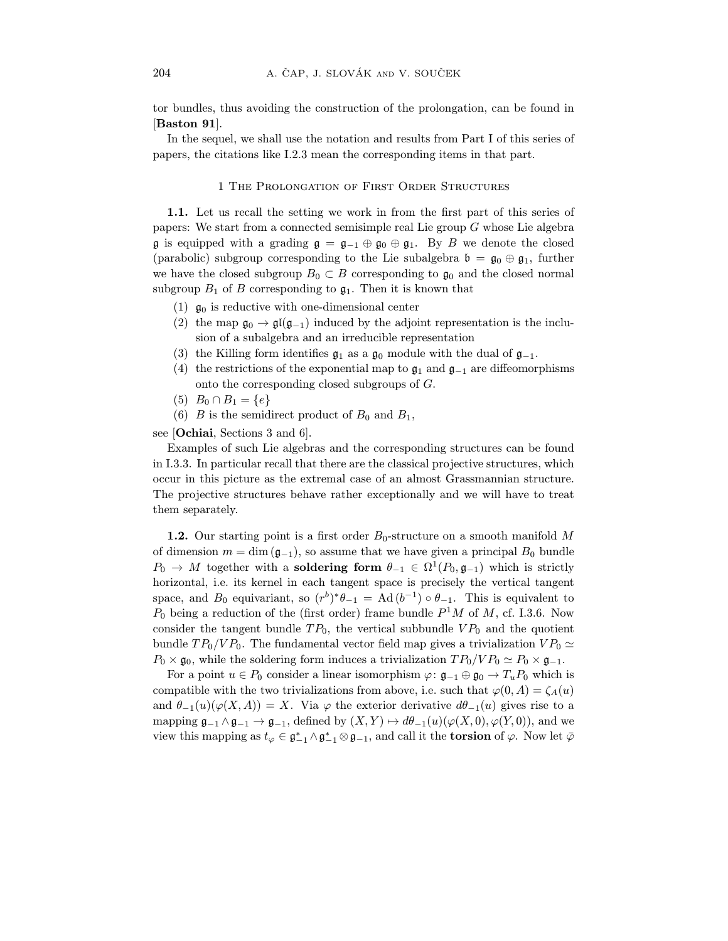tor bundles, thus avoiding the construction of the prolongation, can be found in [Baston 91].

In the sequel, we shall use the notation and results from Part I of this series of papers, the citations like I.2.3 mean the corresponding items in that part. papers, the citations like I.2.3 mean the corresponding items in that part.

### 1 The Prolongation of First Order Structures

**1.1.** Let us recall the setting we work in from the first part of this series of papers: We start from a connected semisimple real Lie group  $G$  whose Lie algebra  $\mathfrak g$  is equipped with a grading  $\mathfrak g = \mathfrak g_{-1} \oplus \mathfrak g_0 \oplus \mathfrak g_1$ . By B we denote the closed (parabolic) subgroup corresponding to the Lie subalgebra  $\mathfrak{b} = \mathfrak{g}_0 \oplus \mathfrak{g}_1$ , further we have the closed subgroup  $B_0 \subset B$  corresponding to  $\mathfrak{g}_0$  and the closed normal we have the closed subgroup  $\pm 0 \leq x$  corresponding to  $\sigma$ . Then it is known that  $\mathcal{L}_{\text{max}}$  of  $\mathcal{L}_{\text{max}}$  of  $\mathcal{L}_{\text{max}}$  of  $\mathcal{L}_{\text{max}}$  is the is known that is known that is known that is known that is known that is known that is known that is known that is known that is known that is known

- 
- (1)  $\mathfrak{g}_0$  is reductive with one-dimensional center<br>(2) the map  $\mathfrak{g}_0 \to \mathfrak{gl}(\mathfrak{g}_{-1})$  induced by the adjoint representation is the inclusion of a subalgebra and an irreducible representation
- (3) the Killing form identifies  $\mathfrak{g}_1$  as a  $\mathfrak{g}_0$  module with the dual of  $\mathfrak{g}_{-1}$ .
- (4) the restrictions of the exponential map to  $\mathfrak{g}_1$  and  $\mathfrak{g}_{-1}$  are diffeomorphisms onto the corresponding closed subgroups of  $G$ .
- (5)  $B_0 \cap B_1 = \{e\}$
- $(6)$  B is the comid (e)  $B = 1 + 8$  and semidirect product of B<sub>0</sub> and B<sub>1</sub>,

see [Ochiai, Sections 3 and 6].<br>Examples of such Lie algebras and the corresponding structures can be found in I.3.3. In particular recall that there are the classical projective structures, which occur in this picture as the extremal case of an almost Grassmannian structure. occur in this picture as the extremal case of an almost Grassmannian structure. The projective structures behavior rather exceptionally and we will have to treat them separately.

**1.2.** Our starting point is a first order  $B_0$ -structure on a smooth manifold M of dimension  $m = \dim(\mathfrak{g}_{-1})$ , so assume that we have given a principal  $B_0$  bundle  $D_{\alpha}$  is  $M$  together with a soldening form  $A_{\alpha} \in \Omega^{1}(D_{\alpha}, \alpha_{\alpha})$  which is strictly  $P_0 \to M$  together with a **soldering form**  $\theta_{-1} \in \Omega^1(P_0, \mathfrak{g}_{-1})$  which is strictly<br>herizontal i.e. its kernal in each tangent space is precisely the vertical tangent horizontal, i.e. its kernel in each tangent space is precisely the vertical tangent space, and  $B_0$  equivariant, so  $(r^b)^*\theta_{-1} = \text{Ad}(b^{-1}) \circ \theta_{-1}$ . This is equivalent to space, and B<sub>0</sub> equivariant, so  $(r\cdot)\theta_{-1} = \text{Ad}(b\cdot\theta) \circ \theta_{-1}$ . This is equivalent to <br>*P*, being a reduction of the (first order) frame bundle  $P^1M$  of  $M$  of 1.2.6. Now  $P_0$  being a reduction of the (first order) frame bundle P M of M, cf. 1.3.6. Now<br>consider the tengent bundle  $TP$ , the vertical subbundle  $VP$ , and the quotient consider the tangent bundle TP<sub>0</sub>, the tangent bundle  $TP_0$  and the vertical subbundle  $TP_0/VP_0$ . The fundamental vector field map gives a trivialization  $VP_0 \cong P_0 \times q_0$ , while the soldering form induces a trivialization  $TP_0/VP_0 \approx P_0 \times q_0$ .

 $P_0 \times \mathfrak{g}_0$ , while the soldering form induces a trivialization  $TP_0/VP_0 \simeq P_0 \times \mathfrak{g}_{-1}$ .<br>For a point  $u \in P_0$  consider a linear isomorphism  $\varphi \colon \mathfrak{g}_{-1} \oplus \mathfrak{g}_0 \to T_u P_0$  which is compatible with the two trivializations from above, i.e. such that  $\varphi(0, A) = \zeta_A(u)$ and  $\theta_{-1}(u)(\varphi(X,A)) = X$ . Via  $\varphi$  the exterior derivative  $d\theta_{-1}(u)$  gives rise to a mapping  $\mathfrak{g}_{-1}\wedge \mathfrak{g}_{-1}\to \mathfrak{g}_{-1}$ , defined by  $(X, Y)\mapsto d\theta_{-1}(u)(\varphi(X, 0), \varphi(Y, 0)),$  and we mapping  $g-1 \wedge g-1$  ,  $g-1$ , defined by  $(2, y - 1) \wedge m-1$ (u)( $y(x-y)$ ,  $y(y-y)$ , and we view this mapping as  $\iota_{\varphi} \in \mathfrak{g}_{-1} \wedge \mathfrak{g}_{-1} \otimes \mathfrak{g}_{-1}$ , and call it the torsion of  $\varphi$ . Now let  $\varphi$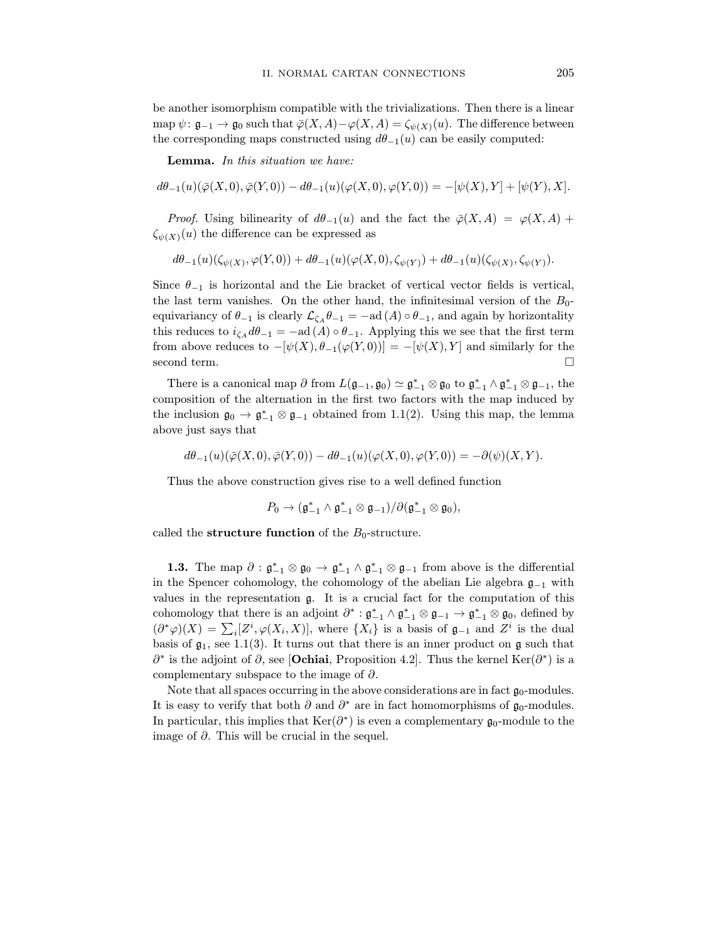be another isomorphism compatible with the trivializations. Then there is a linear<br>map  $\psi: \mathfrak{g}_{-1} \to \mathfrak{g}_0$  such that  $\overline{\varphi}(X, A) - \varphi(X, A) = \zeta_{\psi(X)}(u)$ . The difference between  $m_{\alpha}$  approximated that  $\theta$   $(\alpha)$  and  $\theta$  of  $(\alpha)$ ,  $\alpha$ ) are between  $\alpha$ . the corresponding maps constructed using  $m = 1(u)$  can be easily computed:

Lemma. In this situation we have:

$$
d\theta_{-1}(u)(\bar{\varphi}(X,0),\bar{\varphi}(Y,0)) - d\theta_{-1}(u)(\varphi(X,0),\varphi(Y,0)) = -[\psi(X),Y] + [\psi(Y),X].
$$

 $\sum_{i=1}^{N} P_i(x) = \sum_{i=1}^{N} P_i(x)$  and the fact the  $\sum_{i=1}^{N} P_i(x) = \sum_{i=1}^{N} P_i(x)$  $\mathfrak{z}_{\psi(\mathbf{A})}(\cdot)$  the difference can be expressed as

$$
d\theta_{-1}(u)(\zeta_{\psi(X)}, \varphi(Y,0)) + d\theta_{-1}(u)(\varphi(X,0), \zeta_{\psi(Y)}) + d\theta_{-1}(u)(\zeta_{\psi(X)}, \zeta_{\psi(Y)}).
$$

Since  $\theta_{-1}$  is horizontal and the Lie bracket of vertical vector fields is vertical, the last term vanishes. On the other hand, the infinitesimal version of the  $B_0$ equivariancy of  $\theta_{-1}$  is clearly  $\mathcal{L}_{\zeta_A}\theta_{-1} = -\text{ad}(A) \circ \theta_{-1}$ , and again by horizontality this reduces to  $i_{\zeta_A} d\theta_{-1} = -ad(A) \circ \theta_{-1}$ . Applying this we see that the first term the state of  $\frac{1}{A}$  def  $\frac{1}{A}$   $\frac{1}{A}$   $\frac{1}{A}$   $\frac{1}{A}$   $\frac{1}{A}$   $\frac{1}{A}$   $\frac{1}{A}$   $\frac{1}{A}$   $\frac{1}{A}$   $\frac{1}{A}$   $\frac{1}{A}$   $\frac{1}{A}$   $\frac{1}{A}$   $\frac{1}{A}$   $\frac{1}{A}$   $\frac{1}{A}$   $\frac{1}{A}$   $\frac{1}{A}$   $\frac{1}{A}$   $\frac{$  $f(x) = \frac{f(x) - f(x)}{f(x) - f(x) - f(x) - f(x)}$  =  $\frac{f(x) - f(x) - f(x)}{f(x) - f(x)}$  for the similar similar  $f(x) = \frac{f(x) - f(x)}{f(x) - f(x)}$ second term.  $\Box$ 

There is a canonical map  $\sigma$  from  $L(\mathfrak{g}_{-1}, \mathfrak{g}_0) \simeq \mathfrak{g}_{-1} \otimes \mathfrak{g}_0$  to  $\mathfrak{g}_{-1}^+ \wedge \mathfrak{g}_{-1}^+$ composition of the alternation in the first two factors with the map induced by composition  $\alpha$  the alternation in the first two factors with the first two factors with the first two factors with the first two factors  $\alpha$  to  $\alpha^* \otimes \alpha$  defined from 1.1(2). Hence the map the lemma the inclusion  $\mathfrak{g}_0 \to \mathfrak{g}_{-1} \otimes \mathfrak{g}_{-1}$  obtained from 1.1(2). Using this map, the lemma<br>shows just save that above just says that

$$
d\theta_{-1}(u)(\overline{\varphi}(X,0),\overline{\varphi}(Y,0)) - d\theta_{-1}(u)(\varphi(X,0),\varphi(Y,0)) = -\partial(\psi)(X,Y).
$$

Thus the above construction gives rise to a well defined function

$$
P_0 \to (\mathfrak{g}_{-1}^* \wedge \mathfrak{g}_{-1}^* \otimes \mathfrak{g}_{-1})/\partial (\mathfrak{g}_{-1}^* \otimes \mathfrak{g}_0),
$$

called the structure function of the  $B_0$ -structure.

1.3. The map  $\sigma : \mathfrak{g}_{-1} \otimes \mathfrak{g}_0 \to \mathfrak{g}_{-1} \wedge \mathfrak{g}_{-1}$ <br>the Spencer cohemology the cohemology in the Spencer cohomology, the cohomology of the abelian Lie algebra  $\mathfrak{g}_{-1}$  with values in the representation  $\mathfrak{g}$ . It is a crucial fact for the computation of this cohomology that there is an adjoint  $\partial^* : \mathfrak{g}_{-1}^* \wedge \mathfrak{g}_{-1}^* \otimes \mathfrak{g}_{-1} \to \mathfrak{g}_{-1}^* \otimes \mathfrak{g}_0$ , defined by cohomology that there is an adjoint  $\sigma : \mathfrak{g}_{-1} \wedge \mathfrak{g}_{-1} \otimes \mathfrak{g}_{-1} \to \mathfrak{g}_{-1} \otimes \mathfrak{g}_0$ , defined by<br>  $(\partial^* \varphi)(X) = \sum_i [Z^i, \varphi(X_i, X)],$  where  $\{X_i\}$  is a basis of  $\mathfrak{g}_{-1}$  and  $Z^i$  is the dual<br>
basis of  $\sigma$  $\partial^*$  is the edicint of  $\partial$ , see  $[**Orbini Proposition 4.2**]$ . Thus the learnal  $Ker(\partial^*)$  is a  $\hat{O}^{\bullet}$  is the adjoint of  $\hat{O}$ , see [Ochiai, Proposition 4.2]. Thus the kernel Ker( $\hat{O}^{\bullet}$ ) is a complementary subgrass to the image of  $\hat{A}$ complementary subspace to the image of  $\partial$ .<br>Note that all spaces occurring in the above considerations are in fact  $\mathfrak{g}_0$ -modules.

 $\frac{1}{10}$  and  $\frac{1}{10}$  are  $\frac{1}{10}$  and  $\frac{1}{10}$  and  $\frac{1}{10}$  are in fact homomorphisms of  $\alpha$ , modules. It is easy to verify that both ∂ and ∂∙ are in fact homomorphisms of  $\mathfrak{g}_0$ -modules.<br>In porticular, this implies that  $K\alpha(\partial^*)$  is even a complementary  $\sigma$ , module to the In particular, this implies that  $\text{Ker}(\partial^*)$  is even a complementary  $\mathfrak{g}_0$ -module to the image of  $\partial$ . This will be crucial in the sequel.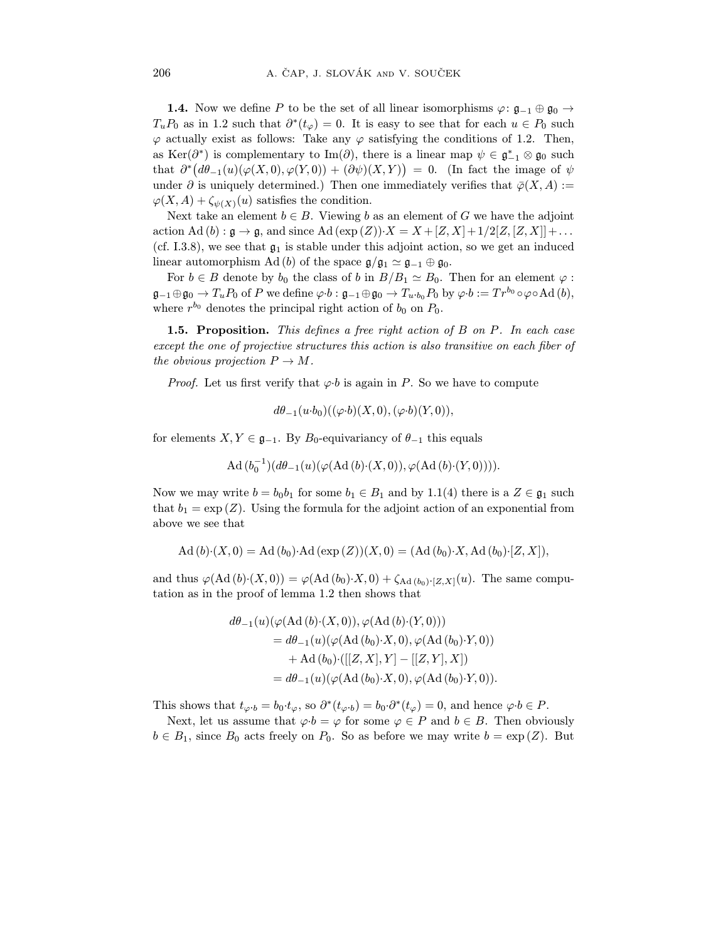1.4. Now we define P to be the set of all linear isomorphisms  $\gamma \cdot g_{-1} \oplus g_0$  $T_uF_0$  as in 1.2 such that  $\sigma'(t\varphi) = 0$ . It is easy to see that for each  $u \in F_0$  such  $\alpha$  actually exist as follows. Take any  $\alpha$  stigfying the conditions of 1.2. Then  $\varphi$  actually exist as follows: Take any  $\varphi$  satisfying the conditions of 1.2. Then, as Ker $(\partial^*)$  is complementary to Im $(\partial)$ , there is a linear map  $\psi \in \mathfrak{g}_{-1}^* \otimes \mathfrak{g}_0$  such as Ker(∂⋅) is complementary to Im(∂), there is a linear map  $\psi \in \mathfrak{g}_{-1} \otimes \mathfrak{g}_0$  such<br>that  $\partial^*(d\theta_{-1}(u)(\varphi(X,0),\varphi(Y,0)) + (\partial\psi)(X,Y)) = 0$ . (In fact the image of  $\psi$ <br>under  $\partial$  is uniquely determined). Then are immediat  $\frac{d}{dx} \lim_{x \to 0} \frac{d}{dx} \left( \frac{d}{dx} \right) \left( \frac{d}{dx} \right)$  ( $\frac{d}{dx} \left( \frac{d}{dx} \right)$ ) Then ene immediately verifies that  $\overline{d}(X, A) \leftarrow$  $\varphi(X, A) + \zeta_{\psi(X)}(u)$  satisfies the condition.

Next take an element  $b \in B$ . Viewing b as an element of G we have the adjoint action Ad  $(b)$ :  $\mathfrak{g} \to \mathfrak{g}$ , and since Ad  $(\exp(Z)) \cdot X = X + [Z, X] + 1/2[Z, [Z, X]] + \dots$ (cf. I.3.8), we see that  $\mathfrak{g}_1$  is stable under this adjoint action, so we get an induced  $\sum_{i=1}^{n}$  is stable under the under the under the under the stability action. linear automorphism Ad (b) of the space  $\mathfrak{g}/\mathfrak{g}_1 \simeq \mathfrak{g}_{-1} \oplus \mathfrak{g}_0$ .<br>For  $h \subset B$  denote by h, the close of h in  $B/B \sim B$ .

For  $b \in B$  denote by  $b_0$  the class of b in  $B/B_1 \simeq B_0$ . Then for an element  $\varphi$ :  $\mathfrak{g}_{-1}\oplus\mathfrak{g}_0\to T_uP_0$  of P we define  $\varphi\cdot b:\mathfrak{g}_{-1}\oplus\mathfrak{g}_0\to T_u\cdot b_0P_0$  by  $\varphi\cdot b:=Tr^{b_0}\circ\varphi\circ\mathrm{Ad}(b),$ where  $r^{b_0}$  denotes the principal right action of  $b_0$  on  $P_0$ .

**1.5. Proposition.** This defines a free right action of  $B$  on  $P$ . In each case except the one of projective structures this action is also transitive on each fiber of the obvious projection  $P \to M$ .  $t_{\text{ref}}$  obvious projection  $P$   $\rightarrow$  M.

*Proof.* Let us first verify that  $\varphi \cdot b$  is again in P. So we have to compute

$$
d\theta_{-1}(u \cdot b_0)((\varphi \cdot b)(X,0),(\varphi \cdot b)(Y,0)),
$$

for elements  $X, Y \in \mathfrak{g}_{-1}$ . By  $B_0$ -equivariancy of  $\theta_{-1}$  this equals

$$
\mathrm{Ad}(b_0^{-1})(d\theta_{-1}(u)(\varphi(\mathrm{Ad}(b)\cdot(X,0)),\varphi(\mathrm{Ad}(b)\cdot(Y,0))))\,math>
$$

 $\sum_{i=1}^{n} \frac{1}{i}$   $\sum_{i=1}^{n} \frac{1}{i}$  for some  $\sum_{i=1}^{n} \frac{1}{i}$  and by  $\sum_{i=1}^{n} \frac{1}{i}$  there is a  $\sum_{i=1}^{n} \frac{1}{i}$  such that  $h_i = \alpha \mathbf{v}_i / 2$ .  $\frac{1}{\sqrt{2}}$ above we see that

$$
Ad (b) (X, 0) = Ad (b_0) Ad (exp (Z))(X, 0) = (Ad (b_0) X, Ad (b_0) [Z, X]),
$$

and thus  $\gamma$  (x  $(x, y)$  +  $\gamma$  +  $\gamma$  +  $\gamma$  +  $\gamma$  +  $\gamma$  +  $\gamma$  +  $\gamma$  +  $\gamma$  +  $\gamma$  +  $\gamma$  +  $\gamma$  +  $\gamma$  +  $\gamma$  +  $\gamma$  +  $\gamma$  +  $\gamma$  +  $\gamma$  +  $\gamma$  +  $\gamma$  +  $\gamma$  +  $\gamma$  +  $\gamma$  +  $\gamma$  +  $\gamma$  +  $\gamma$  +  $\gamma$  +  $\gamma$  +  $\gamma$  +  $t$ 

$$
d\theta_{-1}(u)(\varphi(\text{Ad}(b)\cdot(X,0)), \varphi(\text{Ad}(b)\cdot(Y,0)))
$$
  
=  $d\theta_{-1}(u)(\varphi(\text{Ad}(b_0)\cdot X, 0), \varphi(\text{Ad}(b_0)\cdot Y, 0))$   
+  $\text{Ad}(b_0)\cdot([[Z, X], Y] - [[Z, Y], X])$   
=  $d\theta_{-1}(u)(\varphi(\text{Ad}(b_0)\cdot X, 0), \varphi(\text{Ad}(b_0)\cdot Y, 0)).$ 

This shows that  $t_{\varphi \cdot b} = b_0 \cdot t_{\varphi}$ , so  $\partial^*(t_{\varphi \cdot b}) = b_0 \cdot \partial^*(t_{\varphi}) = 0$ , and hence  $\varphi \cdot b \in P$ .<br>Next, let us assume that  $\varphi \cdot b = \varphi$  for some  $\varphi \in P$  and  $b \in B$ . Then obviously

 $R_{\text{e}}$  since  $R_{\text{e}}$  acts froaly on  $R_{\text{e}}$ . So as before we may write  $b = \alpha w/(Z)$ . But  $\mathbf{E} = \mathbf{E} \mathbf{D}$  and  $\mathbf{D}$  acts freely on  $\mathbf{D}$ . But the matrix  $\mathbf{E} \mathbf{D}$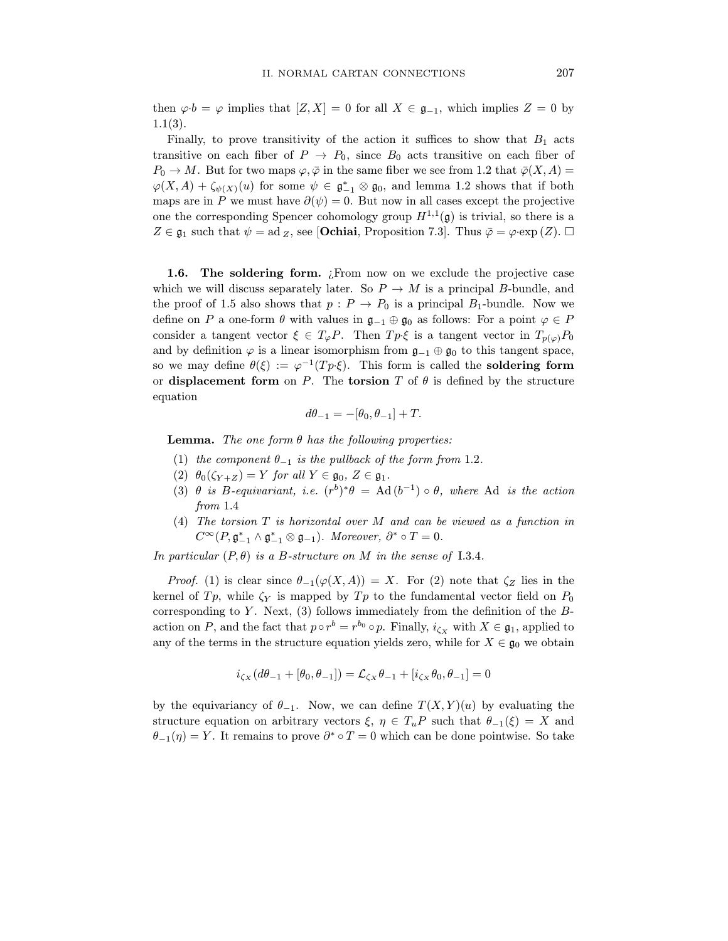then  $\varphi \cdot b = \varphi$  implies that  $[Z, X] = 0$  for all  $X \in \mathfrak{g}_{-1}$ , which implies  $Z = 0$  by 1.1(3).

Finally, to prove transitivity of the action it suffices to show that  $B_1$  acts transitive on each fiber of  $P \rightarrow P_0$ , since  $B_0$  acts transitive on each fiber of  $P_0 \to M$ . But for two maps  $\varphi, \bar{\varphi}$  in the same fiber we see from 1.2 that  $\bar{\varphi}(X, A) =$  $P(X, A) \perp \zeta$  (x) for same  $\psi \in \mathfrak{F}^*$ ,  $\otimes \mathfrak{F}$  and lamma 1.2 shares that if both  $\varphi(A, A) + \zeta_{\psi}(X)(u)$  for some  $\psi \in \mathfrak{g}_-$ <br>maps are in *P* we must have  $\partial(\psi) = 0$ maps are in P we must have  $\partial(\psi) = 0$ . But now in all cases except the projective one the corresponding Spencer cohomology group  $H^{1,1}(\mathfrak{g})$  is trivial, so there is a one the corresponding Spencer cohomology group  $H^{-1}(\mathfrak{g})$  is trivial, so there is a<br> $Z \subset \mathfrak{a}_{\text{c}}$  such that  $\psi = ad = \text{see}$  [Ochiai, Proposition 7.3]. Thus  $\bar{a} = \text{con}(\mathfrak{a})$  $Z \in \mathfrak{g}_1$  such that  $\psi = \text{ad }_Z$ , see [**Ochiai**, Proposition 7.3]. Thus  $\bar{\varphi} = \varphi \cdot \exp(Z)$ .  $\Box$ 

**1.6. The soldering form.** *i* From now on we exclude the projective case which we will discuss separately later. So  $P \rightarrow M$  is a principal *B*-bundle, and the proof of 1.5 also shows that  $p: P \to P_0$  is a principal  $B_1$ -bundle. Now we define on P a one-form  $\theta$  with values in  $\mathfrak{g}_{-1} \oplus \mathfrak{g}_0$  as follows: For a point  $\varphi \in P$ consider a tangent vector  $\xi \in T_{\varphi}P$ . Then  $Tp \xi$  is a tangent vector in  $T_{p(\varphi)}P_0$ and by definition  $\varphi$  is a linear isomorphism from  $\mathfrak{g}_{-1}\oplus \mathfrak{g}_0$  to this tangent space, so we may define  $\theta(\xi) := \varphi^{-1}(Tp \xi)$ . This form is called the **soldering form** or displacement form on P. The torsion T of  $\theta$  is defined by the structure or displacement form on P. The torsion T of  $\sim$  defined by the structure equation

$$
d\theta_{-1} = -[\theta_0, \theta_{-1}] + T.
$$

**Lemma.** The one form  $\theta$  has the following properties:<br>(1) the component  $\theta_{-1}$  is the pullback of the form from 1.2.

- 
- (2)  $\theta_0(\zeta_{Y+Z})=Y$  for all  $Y\in \mathfrak{g}_0, Z\in \mathfrak{g}_1$ .
- (2)  $\theta$  is  $P$  equivariant i.e.  $(n^b)*\theta = \Lambda$ (3) θ is B-equivariant, i.e.  $(r^{\mu})^{\mu} \theta = \text{Ad}(\theta^{-1}) \circ \theta$ , where Ad is the action from 1.4 from 1.4<br>(4) The torsion  $T$  is horizontal over  $M$  and can be viewed as a function in
- ( $\sim$ ) The torsion T is horizontal over M and can be viewed as a function in  $\cos D \star \wedge \alpha^* \otimes \alpha$  in Margarett  $\partial^* \circ T = 0$  $C^{\infty}(P, \mathfrak{g}_{-1} \wedge \mathfrak{g}_{-1} \otimes \mathfrak{g}_{-1}).$  Moreover,  $O^{\infty}I = 0.$

In particular  $(P, \theta)$  is a B-structure on M in the sense of I.3.4.

*Proof.* (1) is clear since  $\theta_{-1}(\varphi(X, A)) = X$ . For (2) note that  $\zeta_Z$  lies in the kernel of  $Tp$ , while  $\zeta_Y$  is mapped by  $Tp$  to the fundamental vector field on  $P_0$ corresponding to Y. Next,  $(3)$  follows immediately from the definition of the Bcorresponding to Y . Next,  $\frac{1}{2}$  and the feat that  $n \circ n^b = n^{b_0} \circ n$ . Finally  $i = m$  it  $Y \in \mathcal{Z}$  applied to action on P, and the fact that  $p \circ r = r \circ \circ p$ . Finally,  $i_{\zeta X}$  with  $X \in \mathfrak{g}_1$ , applied to any of the terms in the structure equation yields zero, while for  $X \in \mathfrak{g}_0$  we obtain

$$
i_{\zeta_X}(d\theta_{-1} + [\theta_0, \theta_{-1}]) = \mathcal{L}_{\zeta_X}\theta_{-1} + [i_{\zeta_X}\theta_0, \theta_{-1}] = 0
$$

by the equivariancy of  $\theta_{-1}$ . Now, we can define  $T(X, Y)(u)$  by evaluating the structure equation on arbitrary vectors  $\xi, \eta \in T_uP$  such that  $\theta_{-1}(\xi) = X$  and  $\theta_{\alpha}(n) = V$ . It remains to prove  $\theta^* \circ T = 0$  which can be done pointwise. So take  $\theta_{-1}(\eta) = Y$ . It remains to prove  $\theta^{\top} \circ T = 0$  which can be done pointwise. So take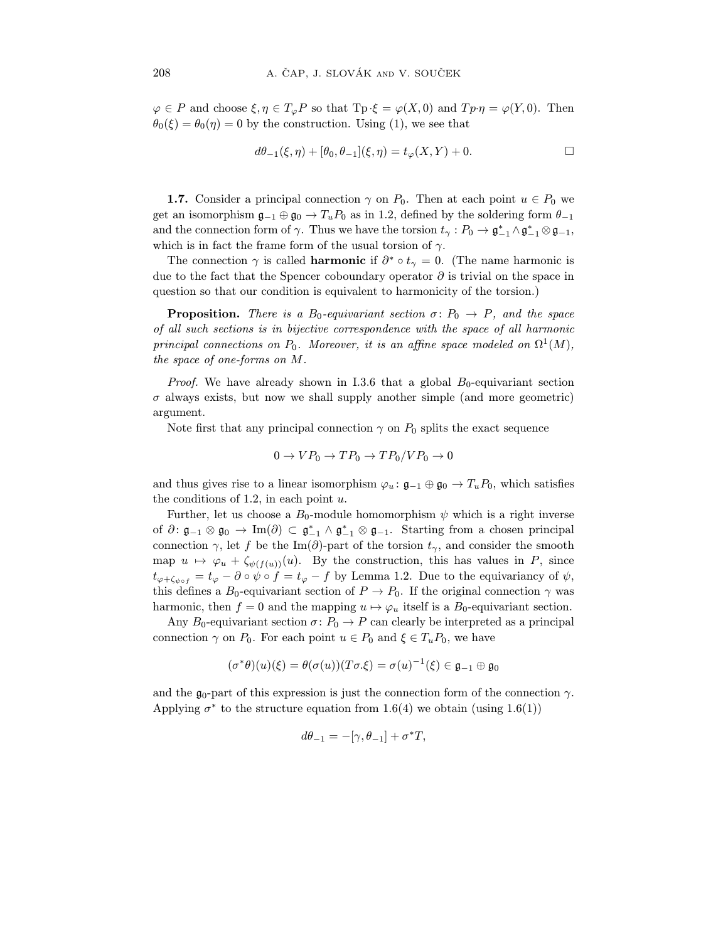$\phi$  = P and choose  $\xi$ ,  $\eta$  =  $\neg \phi$  so that  $T_F$ ,  $\xi$   $\eta$  (x),  $\eta$  and  $T_F$ ,  $\eta$   $\eta$  (x),  $T(x, y)$ . Then  $\theta$  (5)  $\theta$  by the construction. Using (1), we see that

$$
d\theta_{-1}(\xi,\eta) + [\theta_0,\theta_{-1}](\xi,\eta) = t_{\varphi}(X,Y) + 0.
$$

**1.7.** Consider a principal connection  $\gamma$  on  $P_0$ . Then at each point  $u \in P_0$  we get an isomorphism  $\mathfrak{g}_{-1} \oplus \mathfrak{g}_0 \to T_u P_0$  as in 1.2, defined by the soldering form  $\theta_{-1}$ get and it is  $\mathcal{L}_1 = \mathcal{L}_0$  +  $\mathcal{L}_1 = \mathcal{L}_0$  as in the soldering form  $\mathcal{L}_2 = \mathcal{L}_1$ and the connection form of  $\gamma$ . Thus we have the torsion  $\iota_{\gamma}: P_0 \to \mathfrak{g}_{-1} \wedge \mathfrak{g}_{-1} \otimes \mathfrak{g}_{-1}$ , which is in fact the frame form of the usual torsion of  $\gamma$ .<br>The connection  $\gamma$  is called **harmonic** if  $\partial^* \circ t_{\gamma} = 0$ . (The name harmonic is

due to the fact that the Spencer coboundary operator  $\partial$  is trivial on the space in due to the fact that the Spencer coboundary operator ∂ is trivial on the space in  $\mathbf{q}$  so that our condition is equivalent to harmonicity of the torsion.)

**Proposition.** There is a  $B_0$ -equivariant section  $\sigma: P_0 \to P$ , and the space of all such sections is in bijective correspondence with the space of all harmonic  $\mathbf{r}$  all such sections on  $\mathbf{p}$  . Moreover, it is an effect exact modeled on  $\Omega^{1}(M)$ principal connections on  $P_0$ . Moreover, it is an affine space modeled on  $\Omega$  (M),<br>the engage of and forms on M the space of one-forms on M.

 $\mathbb{R}^n$  and  $\mathbb{R}^n$  is that a global  $\mathbb{R}^n$  and  $\mathbb{R}^n$  and  $\mathbb{R}^n$  are geometric  $\frac{1}{\sqrt{1+\left(\frac{1}{\sqrt{1+\left(\frac{1}{\sqrt{1+\left(\frac{1}{\sqrt{1+\left(\frac{1}{\sqrt{1+\left(\frac{1}{\sqrt{1+\left(\frac{1}{\sqrt{1+\left(\frac{1}{\sqrt{1+\left(\frac{1}{\sqrt{1+\left(\frac{1}{\sqrt{1+\left(\frac{1}{\sqrt{1+\left(\frac{1}{\sqrt{1+\left(\frac{1}{\sqrt{1+\left(\frac{1}{\sqrt{1+\left(\frac{1}{\sqrt{1+\left(\frac{1}{\sqrt{1+\left(\frac{1}{\sqrt{1+\left(\frac{1}{\sqrt{1+\left(\frac{1}{\sqrt{1+\left(\frac{1}{\sqrt{1+\left$ 

argument.<br>Note fix  $N$  is that any principal connection  $\sqrt{P}$  splits the exact sequence sequence sequence sequence sequence sequence sequence sequence sequence sequence sequence sequence sequence sequence sequence sequence sequence sequen

$$
0 \to VP_0 \to TP_0 \to TP_0/VP_0 \to 0
$$

and thus gives rise to a linear isomorphism  $\varphi_u : \mathfrak{g}_{-1} \oplus \mathfrak{g}_0 \to T_u P_0$ , which satisfies the conditions of 1.2, in each point u.

Further, let us choose a  $B_0$ -module homomorphism  $\psi$  which is a right inverse  $\lim_{n \to \infty} \frac{1}{n} \lim_{n \to \infty} \frac{1}{n} \int_0^{\pi} \frac{1}{n} \, dx$  right in  $\lim_{n \to \infty} \frac{1}{n} \lim_{n \to \infty} \frac{1}{n} \lim_{n \to \infty} \frac{1}{n} \lim_{n \to \infty} \frac{1}{n} \lim_{n \to \infty} \frac{1}{n} \lim_{n \to \infty} \frac{1}{n} \lim_{n \to \infty} \frac{1}{n} \lim_{n \to \infty} \frac{1}{n} \lim_{n \to \infty} \frac{1}{n} \lim_{$ of  $\theta: \mathfrak{g}_{-1} \otimes \mathfrak{g}_0 \to \text{Im}(\theta) \subset \mathfrak{g}_{-1} \wedge \mathfrak{g}_{-1}$ connection  $\gamma$ , let f be the Im( $\partial$ )-part of the torsion  $t_{\gamma}$ , and consider the smooth map  $u \mapsto \varphi_u + \zeta_{\psi(f(u))}(u)$ . By the construction, this has values in P, since  $t_{\varphi+\zeta_{\psi\circ f}}=t_{\varphi}-\partial\circ\psi\circ f=t_{\varphi}-f$  by Lemma 1.2. Due to the equivariancy of  $\psi$ , this defines a  $B_0$ -equivariant section of  $P \to P_0$ . If the original connection  $\gamma$  was harmonic, then  $f = 0$  and the mapping  $u \mapsto \varphi_u$  itself is a  $B_0$ -equivariant section.

Any  $B_0$ -equivariant section  $\sigma: P_0 \to P$  can clearly be interpreted as a principal  $\sum_{i=1}^{\infty}$   $\sum_{i=1}^{\infty}$   $\sum_{i=1}^{\infty}$  P can consider  $\sum_{i=1}^{\infty}$  P can consider a principal connection  $\mathbf{r}$  on  $\mathbf{r}$  and  $\mathbf{r}$  and  $\mathbf{r}$  and  $\mathbf{r}$  and  $\mathbf{r}$ 

$$
(\sigma^*\theta)(u)(\xi) = \theta(\sigma(u))(T\sigma.\xi) = \sigma(u)^{-1}(\xi) \in \mathfrak{g}_{-1} \oplus \mathfrak{g}_0
$$

 $A$  part of the government of the government of the connection  $A$  and  $B(A)$  we obtain (wing  $1.6(1)$ ) Applying  $\sigma$  to the structure equation from 1.6(4) we obtain (using 1.6(1))

$$
d\theta_{-1} = -[\gamma, \theta_{-1}] + \sigma^*T,
$$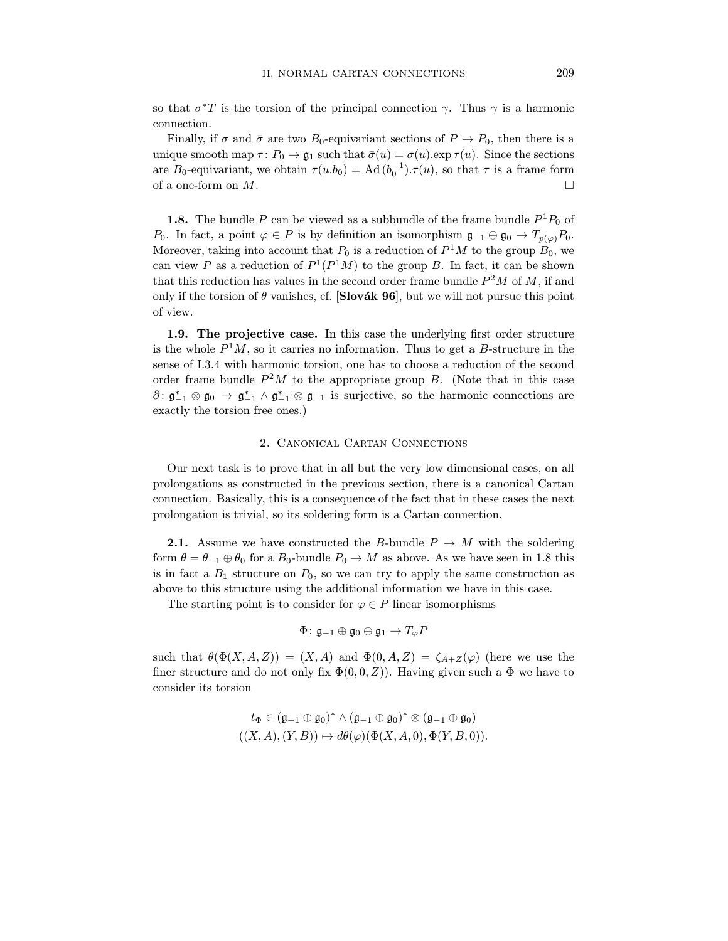so that  $\sigma^*T$  is the torsion of the principal connection  $\gamma$ . Thus  $\gamma$  is a harmonic connection.

Finally, if  $\sigma$  and  $\bar{\sigma}$  are two  $B_0$ -equivariant sections of  $P \to P_0$ , then there is a unique smooth map  $\tau: P_0 \to \mathfrak{g}_1$  such that  $\bar{\sigma}(u) = \sigma(u)$ . Since the sections unique smooth map  $\mathbf{p}_1 \cdot \mathbf{p}_0 = \mathbf{p}_1 \cdot \mathbf{p}_1$  such that  $\mathbf{p}_1(\mathbf{u}) = \mathbf{p}_1(\mathbf{u})$ . Since the sections are  $B_0$ -equivariant, we obtain  $\tau(u.b_0) = \text{Ad}(b_0^-) \cdot \tau(u)$ , so that  $\tau$  is a frame form<br>of a one form on M of a one-form on M.

**1.8.** The bundle P can be viewed as a subbundle of the frame bundle  $P^1P_0$  of  $P_0$ . In fact, a point  $\varphi \in P$  is by definition an isomorphism  $\mathfrak{g}_{-1} \oplus \mathfrak{g}_0 \to T_{p(\varphi)}P_0$ . Moreover, taking into account that  $P_0$  is a reduction of  $P^1M$  to the group  $B_0$ , we can view P as a reduction of  $P^1(P^1M)$  to the group B. In fact, it can be shown that this reduction has values in the second order frame bundle  $P^2M$  of M, if and that this reduction has values in the second order frame bundle  $P^2$  M of M, if and<br>only if the tergion of A vanishes, of  $\begin{bmatrix} \text{Slov\'e} \\ \text{Plov\'e} \end{bmatrix}$  but we will not pure<br>we this point only if the torsion of  $\frac{1}{2}$ ,  $\frac{1}{2}$  is the will not pursue that  $\frac{1}{2}$ .

**1.9. The projective case.** In this case the underlying first order structure is the whole  $P^1M$ , so it carries no information. Thus to get a *B*-structure in the sense of I.3.4 with harmonic torsion, one has to choose a reduction of the second order frame bundle  $P^2M$  to the appropriate group B. (Note that in this case order frame bundle  $P^2M$  to the appropriate group B. (Note that in this case  $\alpha: \mathfrak{g}_{-1} \otimes \mathfrak{g}_0 \to \mathfrak{g}_{-1} \wedge \mathfrak{g}_{-1} \otimes \mathfrak{g}_{-1}$  is surjective, so the harmonic connections are<br>exactly the tergion free energy exactly the torsion free ones.)

## 2. Canonical Cartan Connections

Our next task is to prove that in all but the very low dimensional cases, on all prolongations as constructed in the previous section, there is a canonical Cartan connection. Basically, this is a consequence of the fact that in these cases the next prolongation is trivial, so its soldering form is a Cartan connection. prolongation is trivial, so its soldering form is a Cartan connection.

**2.1.** Assume we have constructed the B-bundle  $P \to M$  with the soldering form  $\theta = \theta_{-1} \oplus \theta_0$  for a  $B_0$ -bundle  $P_0 \to M$  as above. As we have seen in 1.8 this is in fact a  $B_1$  structure on  $P_0$ , so we can try to apply the same construction as above to this structure using the additional information we have in this case.

The starting point is to consider for  $\varphi \in P$  linear isomorphisms The starting point is to consider for  $\gamma \in \mathbb{R}$  interactional primaries

$$
\Phi\colon \mathfrak{g}_{-1}\oplus\mathfrak{g}_0\oplus\mathfrak{g}_1\to T_\varphi P
$$

 $\frac{1}{2}$  and  $\frac{1}{2}$  ( $\frac{1}{2}$ ,  $\frac{1}{2}$ ,  $\frac{1}{2}$ )  $\frac{1}{2}$  ( $\frac{1}{2}$ ,  $\frac{1}{2}$ ) (here we use the fine  $\frac{1}{2}$   $\frac{1}{2}$   $\frac{1}{2}$   $\frac{1}{2}$   $\frac{1}{2}$   $\frac{1}{2}$   $\frac{1}{2}$   $\frac{1}{2}$   $\frac{1}{2}$   $\frac{1}{2}$  we have to to the  $\frac{1}{2}$  we have to the  $\frac{1}{2}$ 

$$
t_{\Phi} \in (\mathfrak{g}_{-1} \oplus \mathfrak{g}_{0})^{*} \wedge (\mathfrak{g}_{-1} \oplus \mathfrak{g}_{0})^{*} \otimes (\mathfrak{g}_{-1} \oplus \mathfrak{g}_{0})
$$

$$
((X, A), (Y, B)) \mapsto d\theta(\varphi)(\Phi(X, A, 0), \Phi(Y, B, 0)).
$$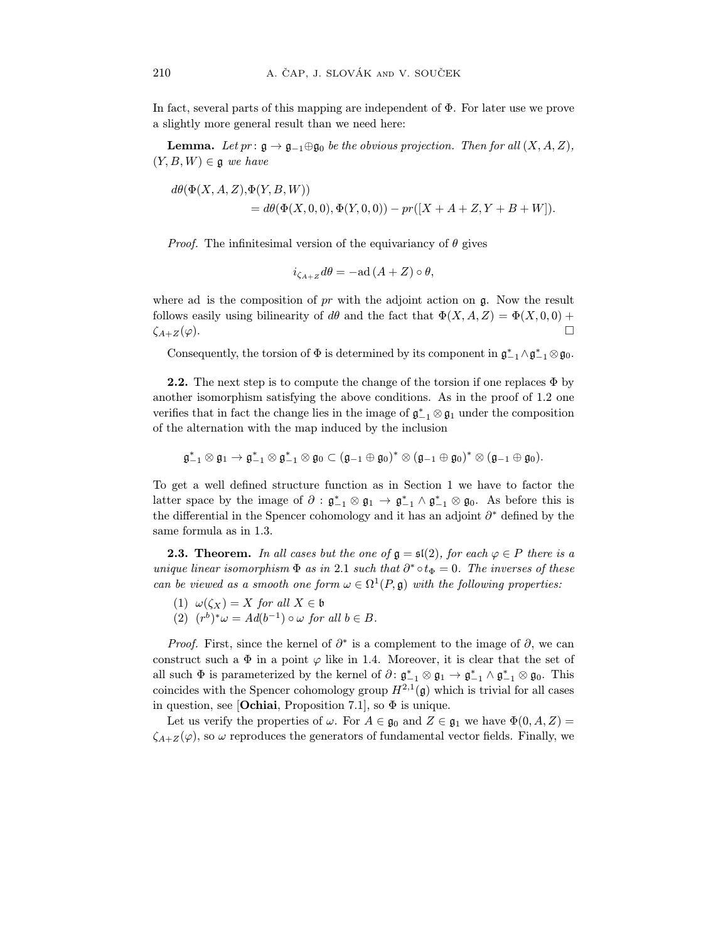$\frac{1}{2}$  factor parts of this mapping are independent of  $\frac{1}{2}$ . For later use we prove and  $\sigma$  slightly more general result than we need here:

**Lemma.** Let  $pr: \mathfrak{g} \to \mathfrak{g}_{-1} \oplus \mathfrak{g}_0$  be the obvious projection. Then for all  $(X, A, Z)$ ,  $(Y, B, W) \in \mathfrak{g}$  we have

$$
d\theta(\Phi(X, A, Z), \Phi(Y, B, W))
$$
  
=  $d\theta(\Phi(X, 0, 0), \Phi(Y, 0, 0)) - pr([X + A + Z, Y + B + W]).$ 

*Proof.* The infinitesimal version of the equivariancy of  $\theta$  gives

$$
i_{\zeta_{A+Z}}d\theta = -\mathrm{ad}\,(A+Z)\circ\theta,
$$

follows easily using bilinearity of de and the feet that  $\Phi(Y, A, Z) = \Phi(Y, 0, 0) + \Phi(Y, 0, 0)$  $f_{\lambda} = (a)$   $\Box$  $\zeta_{A+Z}(\varphi).$ 

Consequently, the torsion of  $\Psi$  is determined by its component in  $\mathfrak{g}_{-1} \wedge \mathfrak{g}_{-1} \otimes \mathfrak{g}_0$ .

**2.2.** The next step is to compute the change of the torsion if one replaces  $\Phi$  by another isomorphism satisfying the above conditions. As in the proof of 1.2 one and the isomorphism satisfying the above conditions. Let  $\mathbb{R}^n$  be the composition verifies that in fact the change lies in the image of  $g_{-1} \otimes g_1$  under the composition<br>of the elternation with the map induced by the inclusion of the alternation with the map induced by the inclusion

$$
\mathfrak{g}_{-1}^* \otimes \mathfrak{g}_1 \to \mathfrak{g}_{-1}^* \otimes \mathfrak{g}_{-1}^* \otimes \mathfrak{g}_0 \subset (\mathfrak{g}_{-1} \oplus \mathfrak{g}_0)^* \otimes (\mathfrak{g}_{-1} \oplus \mathfrak{g}_0)^* \otimes (\mathfrak{g}_{-1} \oplus \mathfrak{g}_0).
$$

In the general structure function  $f \partial x^* \partial \alpha$ ,  $x^* \partial \alpha^* \partial \alpha$ , As he factor this is latter space by the image of  $\sigma : \mathfrak{g}_{-1} \otimes \mathfrak{g}_1 \to \mathfrak{g}_{-1} \wedge \mathfrak{g}_2$ <br>the differential in the Spanear cohomology and it has an  $\frac{1}{2}$  ⇒  $\frac{1}{2}$   $\frac{1}{2}$   $\frac{1}{2}$   $\frac{1}{2}$   $\frac{1}{2}$   $\frac{1}{2}$   $\frac{1}{2}$   $\frac{1}{2}$   $\frac{1}{2}$   $\frac{1}{2}$   $\frac{1}{2}$   $\frac{1}{2}$   $\frac{1}{2}$   $\frac{1}{2}$   $\frac{1}{2}$   $\frac{1}{2}$   $\frac{1}{2}$   $\frac{1}{2}$   $\frac{1}{2}$   $\frac{1}{2}$   $\frac{1}{2}$ the differential in the Spencer cohomology and it has an adjoint ∂∙ defined by the<br>como formulo os in 1.2 same formula as in 1.3.

**2.3. Theorem.** In all cases but the one of  $\mathfrak{g} = \mathfrak{sl}(2)$ , for each  $\varphi \in P$  there is a unique linear isomorphism  $\Phi$  as in 2.1 such that  $\partial^* \circ t_{\Phi} = 0$ . The inverses of these unique linear isomorphism  $\Psi$  as in 2.1 such that  $\sigma \circ t_{\Phi} = 0$ . The inverses of these can be viewed as a smooth one form  $\omega \in \Omega$  (F, g) with the following properties:

(2)  $(a^b)^* = A d(b-1) \circ \theta$  for (2)  $(r^{\circ})^{\circ} \omega = A a (b^{-1}) \circ \omega$  for all  $b \in B$ .

*Proof.* First, since the kernel of  $\partial^*$  is a complement to the image of  $\partial$ , we can construct such a  $\Phi$  in a point  $\varphi$  like in 1.4. Moreover, it is clear that the set of ell queb  $\Phi$  is poromotorized by the learnel of  $\partial \cdot \sigma^* \otimes \sigma$ ,  $\sigma^* \wedge \sigma^* \otimes \sigma$ . This all such  $\Psi$  is parameterized by the kernel of  $\sigma: \mathfrak{g}_{-1} \otimes \mathfrak{g}_1 \to \mathfrak{g}_{-1} \wedge \mathfrak{g}_2$ <br>coincides with the Spencer sehemology group  $H^{2,1}(\sigma)$  which is trivia −1 ⊗ *g*0. This<br>al for all eases coincides with the Spencer cohomology group  $H^{2,1}(\mathfrak{g})$  which is trivial for all cases<br>in question, see [Oshioi] Proposition 7.1], so  $\Phi$  is unique in question, see [**Ochiai**, Proposition 7.1], so  $\Phi$  is unique.<br>Let us verify the properties of  $\omega$ . For  $A \in \mathfrak{g}_0$  and  $Z \in \mathfrak{g}_1$  we have  $\Phi(0, A, Z) =$ 

 $\mathcal{L}(s)$  so  $\mu$  properties of  $\mathcal{L}(s)$  and  $\mathcal{L}(\mathcal{L}(s))$  and  $\mathcal{L}(\mathcal{L}(s))$  and  $\mathcal{L}(\mathcal{L}(s))$  are  $\mathcal{L}(\mathcal{L}(s))$  and  $\mathcal{L}(\mathcal{L}(s))$  are  $\mathcal{L}(\mathcal{L}(s))$  and  $\mathcal{L}(\mathcal{L}(s))$  are  $\mathcal{L}(\mathcal{L}(s))$  and  $\mathcal{$  $\sum_{i=1}^{N+1} \sum_{j=1}^{N} \sum_{j=1}^{N} \sum_{j=1}^{N} \sum_{j=1}^{N} \sum_{j=1}^{N} \sum_{j=1}^{N} \sum_{j=1}^{N} \sum_{j=1}^{N} \sum_{j=1}^{N} \sum_{j=1}^{N} \sum_{j=1}^{N} \sum_{j=1}^{N} \sum_{j=1}^{N} \sum_{j=1}^{N} \sum_{j=1}^{N} \sum_{j=1}^{N} \sum_{j=1}^{N} \sum_{j=1}^{N} \sum_{j=1}^{N} \sum_{j=1}^{N} \sum_{j=1}^{$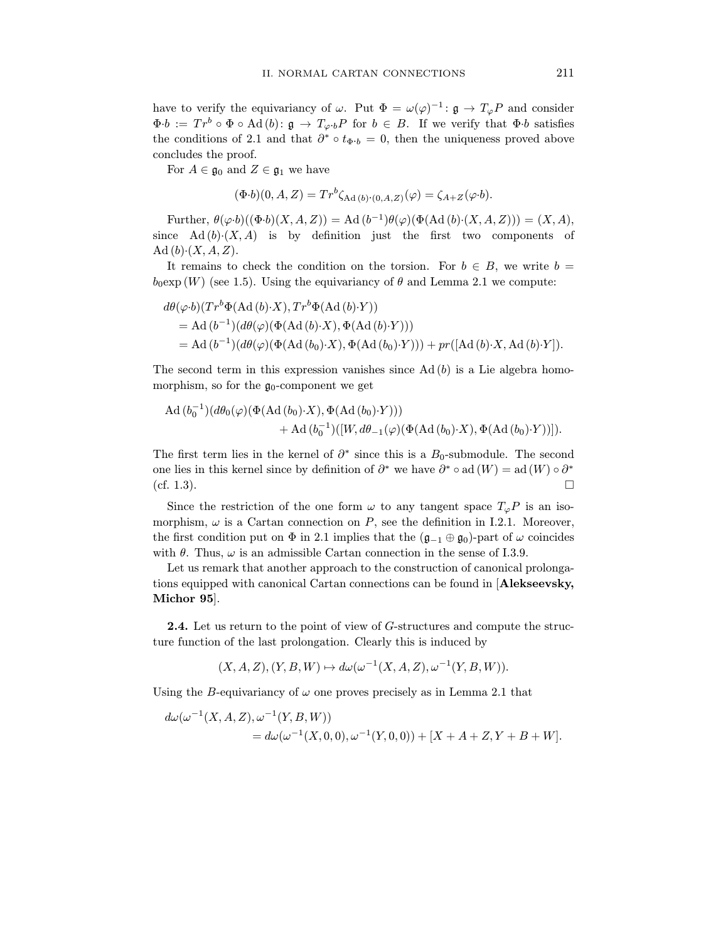have to verify the equivariancy of  $\omega$ . Put  $\Phi = \omega(\varphi)^{-1} : \mathfrak{g} \to T_{\varphi}P$  and consider  $\Phi \cdot b := T r^b \circ \Phi \circ \text{Ad}(b) : \mathfrak{g} \to T_{\varphi \cdot b}P$  for  $b \in B$ . If we verify that  $\Phi \cdot b$  satisfies  $\Phi \cdot \theta := I r^{\circ} \circ \Phi \circ \text{A} \alpha (b) : \mathfrak{g} \to T_{\varphi} \cdot bP$  for  $\theta \in B$ . If we verify that  $\Phi \cdot \theta$  satisfies<br>the conditions of 2.1 and that  $\partial^* \circ t_{\mathfrak{s},t} = 0$  then the uniqueness proved above the conditions of 2.1 and that  $\hat{o}$  ∘  $\tau_{\Phi}$ · $\hat{b}$  = 0, then the uniqueness proved above<br>concludes the proof

 $\frac{1}{2}$  Eq. 4.6.2. and 7.  $\mathcal{F} = \mathcal{F} = \mathcal{F} = \mathcal{F}$  and  $\mathcal{F} = \mathcal{F}$  and  $\mathcal{F} = \mathcal{F}$ 

$$
(\Phi \cdot b)(0, A, Z) = Tr^b \zeta_{\text{Ad}(b) \cdot (0, A, Z)}(\varphi) = \zeta_{A+Z}(\varphi \cdot b).
$$

Further,  $\theta(\varphi \cdot b)((\Phi \cdot b)(X, A, Z)) = \text{Ad}(b^{-1})\theta(\varphi)(\Phi(\text{Ad}(b) \cdot (X, A, Z))) = (X, A),$ since Ad  $(b)(X, A)$  is by definition just the first two components of Ad  $(b)(X, A, Z)$ .

It remains to check the condition on the torsion. For  $b \in B$ , we write  $b =$  $I(W)$  (see 1.5) Heing the conjugation of  $\theta$  and Lemma 2.1 we compute book (W) (see 1.5). Using the equivariancy of  $\theta$  and Lemma 2.1 we compute:

$$
d\theta(\varphi \cdot b)(Tr^{b}\Phi(\mathrm{Ad}(b)\cdot X), Tr^{b}\Phi(\mathrm{Ad}(b)\cdot Y))
$$
  
= Ad (b<sup>-1</sup>)(d\theta(\varphi)(\Phi(\mathrm{Ad}(b)\cdot X), \Phi(\mathrm{Ad}(b)\cdot Y)))  
= Ad (b<sup>-1</sup>)(d\theta(\varphi)(\Phi(\mathrm{Ad}(b\_{0})\cdot X), \Phi(\mathrm{Ad}(b\_{0})\cdot Y))) + pr([Ad(b)\cdot X, Ad(b)\cdot Y]).

The second term in this expression vanishes since Ad (b) is a Lie algebra homo- $\mathbf{r}$  for the government  $\mathbf{y}_0$  for  $\mathbf{r}$ 

$$
\begin{aligned} \operatorname{Ad}\big(b_0^{-1}\big)(d\theta_0(\varphi)\big(\Phi(\operatorname{Ad}\,(b_0)\cdot X\big),\Phi\big(\operatorname{Ad}\,(b_0)\cdot Y\big)\big)\big) \\ &+ \operatorname{Ad}\big(b_0^{-1}\big)\big([W,d\theta_{-1}(\varphi)\big(\Phi(\operatorname{Ad}\,(b_0)\cdot X\big),\Phi\big(\operatorname{Ad}\,(b_0)\cdot Y\big)\big)\big]. \end{aligned}
$$

The first term lies in the kernel of  $\sigma$  since this is a B<sub>0</sub>-submodule. The second<br>one lies in this kernel since by definition of  $\partial^*$  are have  $\partial^* \circ \partial^d (W) = \partial^d (W) \circ \partial^*$ one lies in this kernel since by definition of  $\sigma^r$  we have  $\sigma^r \circ$  ad  $(W) =$  ad  $(W) \circ \sigma^r$ (cf. 1.3).

Since the restriction of the one form  $\omega$  to any tangent space  $T_{\varphi}P$  is an iso-<br>morphism,  $\omega$  is a Cartan connection on P, see the definition in I.2.1. Moreover, the first condition put on  $\Phi$  in 2.1 implies that the  $(\mathfrak{g}_{-1} \oplus \mathfrak{g}_0)$ -part of  $\omega$  coincides with  $\theta$ . Thus,  $\omega$  is an admissible Cartan connection in the sense of I.3.9.

Let us remark that another approach to the construction of canonical prolongations equipped with canonical Cartan connections can be found in [Alekseevsky, tions equipped with canonical Cartan connections can be found in [Alekseevsky, Michor 95].

**2.4.** Let us return to the point of view of  $G$ -structures and compute the structure function of the last prolongation. Clearly this is induced by ture function of the last problem of the last problem by  $\mathcal{L}$ 

$$
(X, A, Z), (Y, B, W) \mapsto d\omega(\omega^{-1}(X, A, Z), \omega^{-1}(Y, B, W)).
$$

Using the B-equivariancy of  $\omega$  one proves precisely as in Lemma 2.1 that

$$
d\omega(\omega^{-1}(X, A, Z), \omega^{-1}(Y, B, W))
$$
  
=  $d\omega(\omega^{-1}(X, 0, 0), \omega^{-1}(Y, 0, 0)) + [X + A + Z, Y + B + W].$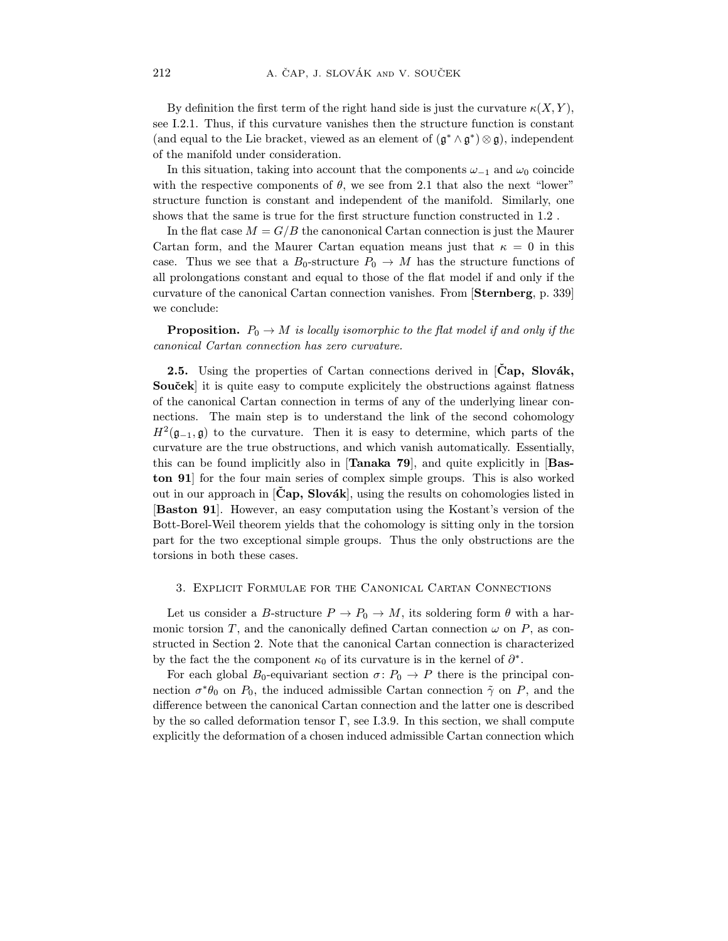By definition the first term of the right hand side is just the curvature  $\kappa(X, Y)$ , see I.2.1. Thus, if this curvature vanishes then the structure function is constant  $s(\text{and } \text{curl})$  to the I.is has list usuad as an element of  $(s^*, s^*) \otimes s$  independent (and equal to the Lie bracket, viewed as an element of (g<sup>∗</sup> ∧ g<sup>∗</sup>) ⊗ g), independent

of the manifold under consideration.<br>In this situation, taking into account that the components  $\omega_{-1}$  and  $\omega_0$  coincide with the respective components of  $\theta$ , we see from 2.1 that also the next "lower" structure function is constant and independent of the manifold. Similarly, one shows that the same is true for the first structure function constructed in  $1.2$ .

In the flat case  $M = G/B$  the canonomical Cartan connection is just the Maurer Cartan form, and the Maurer Cartan equation means just that  $\kappa = 0$  in this case. Thus we see that a  $B_0$ -structure  $P_0 \to M$  has the structure functions of all prolongations constant and equal to those of the flat model if and only if the  $\frac{1}{2}$  all proposed  $\frac{1}{2}$  and  $\frac{1}{2}$  model is the flat model in  $\frac{1}{2}$  model is the flat model if  $\frac{1}{2}$  model is the flat model if  $\frac{1}{2}$  model is the flat model in  $\frac{1}{2}$  model is the flat model in  $\frac{1}{\sqrt{2}}$  connection vanishes. From  $\frac{1}{\sqrt{2}}$  canonical  $\frac{1}{\sqrt{2}}$  subsets of  $\frac{1}{\sqrt{2}}$  subsets of  $\frac{1}{\sqrt{2}}$  subsets of  $\frac{1}{\sqrt{2}}$  subsets of  $\frac{1}{\sqrt{2}}$  subsets of  $\frac{1}{\sqrt{2}}$  subsets of  $\frac{1}{\sqrt{2}}$  su we conclude:

 $P = P$  is local  $Q$   $\rightarrow$  M is the total if the flat the flat model if and only if the same compact in  $P$ canonical Cartan connection has zero curvature.

**2.5.** Using the properties of Cartan connections derived in  $[\text{Čap}, \text{ Slovák}, \text{Souček}]$  it is quite easy to compute explicitely the obstructions against flatness of the canonical Cartan connection in terms of any of the underlying linear connections. The main step is to understand the link of the second cohomology  $H^2(\sigma, \sigma)$  to the survature. Then it is easy to determine which parts of the  $H^1(\mathfrak{g}_{-1}, \mathfrak{g})$  to the curvature. Then it is easy to determine, which parts of the<br>curvature are the two obstructions and which vanish automatically. Essentially curvature are the true obstructions, and which vanish automatically. Essentially, this can be found implicitly also in [**Tanaka 79**], and quite explicitly in [**Bas**ton 91 for the four main series of complex simple groups. This is also worked out in our approach in  $[\mathbf{Cap}, \mathbf{Slovak}]$ , using the results on cohomologies listed in [Baston 91]. However, an easy computation using the Kostant's version of the Bott-Borel-Weil theorem yields that the cohomology is sitting only in the torsion  $\frac{1}{2}$  for the two exceptional simple groups. Thus the only obstructions are the part for the two exceptional simple groups. Thus the only obstructions are the torsions in both these cases.

#### 3. Explicit Formulae for the Canonical Cartan Connections

Let us consider a B-structure  $P \to P_0 \to M$ , its soldering form  $\theta$  with a har-<br>monic torsion T, and the canonically defined Cartan connection  $\omega$  on P, as constructed in Section 2. Note that the canonical Cartan connection is characterized structure in Section 2. Note that the canonical Cartan connection is characterized. by the fact the the component  $\kappa_0$  of its curvature is in the kernel of  $\sigma$ <sup>∙</sup>.<br>For each global B<sub>r</sub>, conjunction  $\sigma$ <sup>∗</sup>.  $P_1$ <sup>+</sup>  $\sigma$ <sup>†</sup>  $\sigma$ <sup>†</sup>  $\sigma$ <sup>†</sup>  $\sigma$ <sup>†</sup>

For each global  $P_0$  -quivariant section  $\epsilon \cdot P_0 \rightarrow P_1$  there is the principal connection  $\sigma \theta_0$  on  $P_0$ , the induced admissible Cartan connection  $\gamma$  on P, and the difference between the canonical Cartan connection and the latter one is described<br>by the so called deformation tensor  $\Gamma$ , see I.3.9. In this section, we shall compute by the so called deformation of a ghoson induced admissible Cartan connection which explicitly the deformation of a chosen induced admissible Cartan connection  $\mathcal{L}$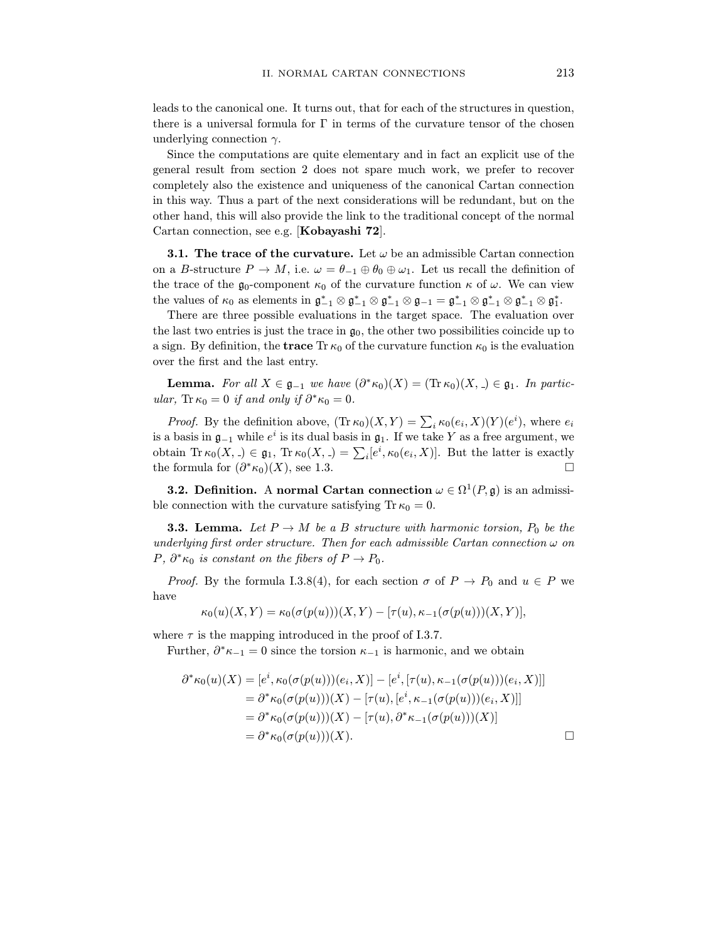leads to the canonical one. It turns out, that for each of the structures in question, there is a universal formula for  $\Gamma$  in terms of the curvature tensor of the chosen underlying connection  $\gamma$ .

Since the computations are quite elementary and in fact an explicit use of the general result from section 2 does not spare much work, we prefer to recover completely also the existence and uniqueness of the canonical Cartan connection in this way. Thus a part of the next considerations will be redundant, but on the other hand, this will also provide the link to the traditional concept of the normal Cartan connection, see e.g. [Kobayashi  $72$ ].  $\sum_{i=1}^{n}$ 

**3.1. The trace of the curvature.** Let  $\omega$  be an admissible Cartan connection on a *B*-structure  $P \to M$ , i.e.  $\omega = \theta_{-1} \oplus \theta_0 \oplus \omega_1$ . Let us recall the definition of the trace of the  $\mathfrak{g}_0$ -component  $\kappa_0$  of the curvature function  $\kappa$  of  $\omega$ . We can view the trainer of the government in  $x^* \otimes z^* \otimes z^* \otimes z^* = z^* \otimes z^* \otimes z^* \otimes z^*$ the values of  $\kappa_0$  as elements in  $\mathfrak{g}_{-1} \otimes \mathfrak{g}_{-1} \otimes \mathfrak{g}_{-1} = \mathfrak{g}_{-1} \otimes \mathfrak{g}_{-1} \otimes \mathfrak{g}_{-1} \otimes \mathfrak{g}_1$ <br>There are three possible evaluations in the target space. The evaluation  $\infty$ 

There are three possible evaluations in the target space. The evaluation over the last two entries is just the trace in  $\mathfrak{g}_0$ , the other two possibilities coincide up to  $t_{\text{max}}$  the last two entries is just the trace in  $y_0$ , the other two possibilities coincide up to  $\frac{1}{2}$  sign. By definition, the trace  $\frac{1}{2}$  of  $\frac{1}{2}$  is the evaluation  $\frac{1}{2}$  is the evaluation  $\frac{1}{2}$ over the first and the last entry.

**Lemma.** For all  $X \in \mathfrak{g}_{-1}$  we have  $(\partial^* \kappa_0)(X) = (\text{Tr } \kappa_0)(X, \Delta) \in \mathfrak{g}_1$ . In particular, Tr  $\kappa_0 = 0$  if and only if  $\partial^* \kappa_0 = 0$ .

*Proof.* By the definition above,  $(\text{Tr }\kappa_0)(X,Y) = \sum_i \kappa_0(e_i,X)(Y)(e^i)$ , where  $e_i$  $i \kappa_0(e_i, \Lambda)(I)(e_i)$ , where  $e_i$ <br>lea V as a free argument, we is a basis in  $\mathfrak{g}_{-1}$  while eins the dual basis in  $\mathfrak{g}_1$ . If we take Y as a free argument, we obtain The  $(Y \cap \subset \mathfrak{g} \cap \text{Tr} \mu_Y(Y \cap \subset \sum [a^i] \mu_Y(a, Y)]$ . But the letter is exactly obtain  $\text{Tr }\kappa_0(X,.) \in \mathfrak{g}_1$ ,  $\text{Tr }\kappa_0(X,.) = \sum_i [e^i, \kappa_0(e_i, X)].$  But the latter is exactly the formula for  $(\partial^* \kappa_0)(X)$  and  $\mathfrak{g}_2$ the formula for  $(\partial^* \kappa_0)(X)$ , see 1.3.

**3.2. Definition.** A normal Cartan connection  $\omega \in \Omega^1(P, \mathfrak{g})$  is an admissible connection with the curvature satisfying Tr  $\kappa_0 = 0$ .

**3.3. Lemma.** Let  $P \to M$  be a B structure with harmonic torsion,  $P_0$  be the underlying first order structure. Then for each admissible Cartan connection  $\omega$  on  $D<sub>1</sub>$   $\mathcal{R}<sub>k</sub>$  is constant on the fibers of  $D<sub>k</sub>$ .  $P, O^{\cdot}\kappa_0$  is constant on the fibers of  $P \to P_0$ .

*Proof.* By the formula I.3.8(4), for each section  $\sigma$  of  $P \to P_0$  and  $u \in P$  we have

$$
\kappa_0(u)(X,Y) = \kappa_0(\sigma(p(u)))(X,Y) - [\tau(u), \kappa_{-1}(\sigma(p(u)))(X,Y)],
$$

Eurthor  $\partial^* u = 0$  gines the torgion  $u = \infty$  becomes Further,  $\sigma \kappa_{-1} = 0$  since the torsion  $\kappa_{-1}$  is harmonic, and we obtain

$$
\partial^* \kappa_0(u)(X) = [e^i, \kappa_0(\sigma(p(u)))(e_i, X)] - [e^i, [\tau(u), \kappa_{-1}(\sigma(p(u)))(e_i, X)]]
$$
  
\n
$$
= \partial^* \kappa_0(\sigma(p(u)))(X) - [\tau(u), [e^i, \kappa_{-1}(\sigma(p(u)))(e_i, X)]]
$$
  
\n
$$
= \partial^* \kappa_0(\sigma(p(u)))(X) - [\tau(u), \partial^* \kappa_{-1}(\sigma(p(u)))(X)]
$$
  
\n
$$
= \partial^* \kappa_0(\sigma(p(u)))(X).
$$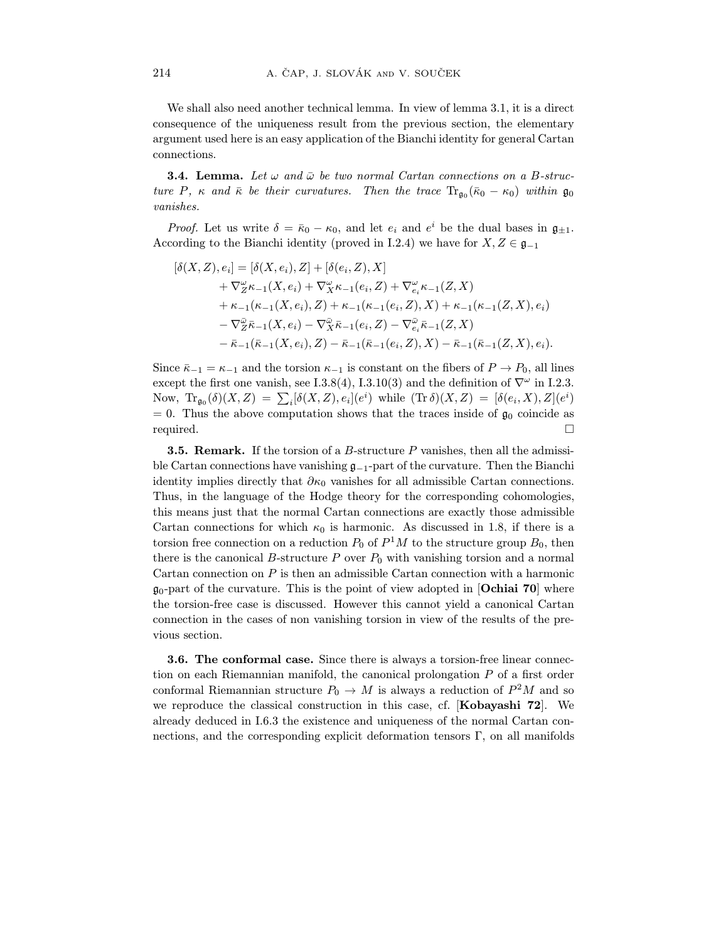We shall also need another technical lemma. In view of lemma 3.1, it is a direct consequence of the uniqueness result from the previous section, the elementary argument used here is an easy application of the Bianchi identity for general Cartan argument used here is an easy approximate to the Bianchi identity for general Cartan

 $\overline{3}$ . Let us and  $\overline{u}$  be the mean computations of the two normal connections on a B-struc $t_{\text{max}}$  be their contractions of the trace  $\frac{1}{t}$  and  $\frac{1}{t}$   $\frac{1}{t}$   $\frac{1}{t}$   $\frac{1}{t}$   $\frac{1}{t}$   $\frac{1}{t}$   $\frac{1}{t}$   $\frac{1}{t}$   $\frac{1}{t}$ 

*Proof.* Let us write  $\delta = \bar{\kappa}_0 - \kappa_0$ , and let  $e_i$  and  $e^i$  be the dual bases in  $\mathfrak{g}_{\pm 1}$ . According to the Bianchi identity (proved in I.2.4) we have for  $X, Z \in \mathfrak{g}_{-1}$ 

$$
\begin{split} [\delta(X,Z),e_i] &= [\delta(X,e_i),Z] + [\delta(e_i,Z),X] \\ &+ \nabla_Z^{\omega}\kappa_{-1}(X,e_i) + \nabla_X^{\omega}\kappa_{-1}(e_i,Z) + \nabla_{e_i}^{\omega}\kappa_{-1}(Z,X) \\ &+ \kappa_{-1}(\kappa_{-1}(X,e_i),Z) + \kappa_{-1}(\kappa_{-1}(e_i,Z),X) + \kappa_{-1}(\kappa_{-1}(Z,X),e_i) \\ &- \nabla_Z^{\bar{\omega}}\bar{\kappa}_{-1}(X,e_i) - \nabla_X^{\bar{\omega}}\bar{\kappa}_{-1}(e_i,Z) - \nabla_{e_i}^{\bar{\omega}}\bar{\kappa}_{-1}(Z,X) \\ &- \bar{\kappa}_{-1}(\bar{\kappa}_{-1}(X,e_i),Z) - \bar{\kappa}_{-1}(\bar{\kappa}_{-1}(e_i,Z),X) - \bar{\kappa}_{-1}(\bar{\kappa}_{-1}(Z,X),e_i). \end{split}
$$

Since  $k-1$  and the torsion  $k-1$  is constant on the fibers of  $\nabla^{\omega}$  in  $1.9.3$ except the first one vanish, see 1.3.8(4), I.3.10(3) and the definition of  $V^{\circ}$  in I.2.3.<br>Now  $T_{\text{N}}$  (S)(Y Z) =  $\sum \left[ S(Y, Z) \right]$  al(a<sup>i</sup>) while  $(T_{\text{N}} S)(Y, Z) = \left[ S(\alpha, Y) \right] Z[(\alpha^i)$ Now,  $\text{Tr}_{\mathfrak{g}_0}(\delta)(X,Z) = \sum_i [\delta(X,Z), e_i](e^i)$  while  $(\text{Tr}\,\delta)(X,Z) = [\delta(e_i,X),Z](e^i)$ <br>  $= 0$ . Thus the above computation shows that the trace inside of  $\sigma$ , coincide a  $\frac{1}{2}$  $=$  0. Thus the above computation shows that the traces inside of good contains in  $\Box$ required.  $\Box$ 

**3.5. Remark.** If the torsion of a *B*-structure *P* vanishes, then all the admissible Cartan connections have vanishing  $g_{-1}$ -part of the curvature. Then the Bianchi identity implies directly that  $\partial \kappa_0$  vanishes for all admissible Cartan connections. Thus, in the language of the Hodge theory for the corresponding cohomologies, this means just that the normal Cartan connections are exactly those admissible Cartan connections for which  $\kappa_0$  is harmonic. As discussed in 1.8, if there is a  $\epsilon$  carrier for a connection on a neglection  $B_{\alpha}$  of  $B_{1}^{1}M$  to the etnucture group  $B_{\alpha}$  then torsion free connection on a reduction  $P_0$  of P<sub>1</sub>M to the structure group  $B_0$ , then<br>there is the cononical B structure  $P_0$  over  $P_1$  with vanishing tersion and a normal there is the canonical B-structure  $P$  over  $P_0$  with vanishing torsion and a normal Cartan connection on  $P$  is then an admissible Cartan connection with a harmonic  $\mathfrak{g}_0$ -part of the curvature. This is the point of view adopted in **Ochiai 70** where the torsion-free case is discussed. However this cannot yield a canonical Cartan  $t_{\text{total}}$  is the torsion-free case is discussed. However the cannot yield a canonical Cartan  $\frac{c}{c}$  in the case of the case of the results of the pre-

**3.6. The conformal case.** Since there is always a torsion-free linear connection on each Riemannian manifold, the canonical prolongation  $P$  of a first order  $t_{\rm max}$  and  $t_{\rm max}$  are considered, the canonical prolongation  $P$  or a first order conformal Riemannian structure  $P_0 \to M$  is always a reduction of P<sup>2</sup>M and so<br>we reproduce the clossical construction in this age, of [Koboyashi **72**] We we reproduce the classical construction in this case, cf. [**Kobayashi 72**]. We already deduced in  $I.6.3$  the existence and uniqueness of the normal Cartan conall calculation in I.6.3 the existence and uniqueness of the internal contains con-<br>notions, and the corresponding evoluti defermation tensors  $\Gamma$ , on all manifolds nections, and the corresponding explicit deformation tensors  $\frac{1}{2}$  on all manifolds  $\frac{1}{2}$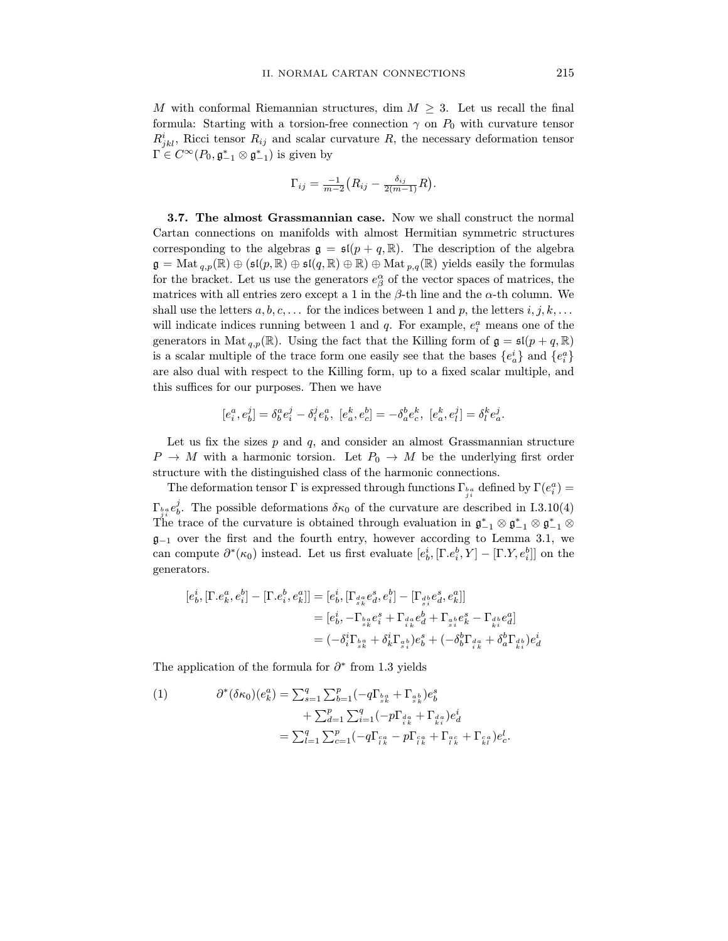M with conformal Riemannian structures, dim  $M \geq 3$ . Let us recall the final formula: Starting with a torsion-free connection  $\gamma$  on  $P_0$  with curvature tensor  $\mathbf{p}^i$  Biogi torson- $\mathbf{p}$  and goaler guy time  $\mathbf{p}$  the possesses defermetion tensor  $\frac{R_j}{\Gamma}$  $j_{kl}$ , record tensor  $P_{ij}$  and scalar curvature  $P_{ij}$  are necessary deformation tensor  $\mathbf{I} \in \mathbb{C}^{\infty}(F_0, \mathfrak{g}_{-1} \otimes \mathfrak{g}_{-1})$  is given by

$$
\Gamma_{ij} = \frac{-1}{m-2} \big( R_{ij} - \frac{\delta_{ij}}{2(m-1)} R \big).
$$

**3.7. The almost Grassmannian case.** Now we shall construct the normal Cartan connections on manifolds with almost Hermitian symmetric structures corresponding to the algebras  $\mathfrak{g} = \mathfrak{sl}(p+q,\mathbb{R})$ . The description of the algebra  $\mathfrak{g} = \text{Mat}_{q,p}(\mathbb{R}) \oplus (\mathfrak{sl}(p, \mathbb{R}) \oplus \mathfrak{sl}(q, \mathbb{R}) \oplus \mathbb{R}) \oplus \text{Mat}_{p,q}(\mathbb{R})$  yields easily the formulas  $g_{\text{max}}$  =  $g_{\text{max}}(P, P) = g_{\text{max}}(p, P) - g_{\text{max}}(p, P)$   $g_{\text{max}}(P)$   $g_{\text{max}}(P)$  yields easily the formulas for the bracket. Let us use the generators  $e_{\beta}$ <br>metries with all entries zero example 1 in the matrices with all entries zero except a 1 in the  $\beta$ -th line and the  $\alpha$ -th column. We shall use the letters  $a, b, c, \ldots$  for the indices between 1 and p, the letters  $i, j, k, \ldots$  $\frac{1}{\pi}$  indicate indices running between 1 and  $\alpha$ . For example,  $a^a$  means one of the will indicate indices running between 1 and q. For example,  $e_i$ <br>conceptors in Met ( $\mathbb{D}$ ). Heing the feat that the Killing form generators in Mat<sub>q,p</sub>( $\mathbb{R}$ ). Using the fact that the Killing form of  $\mathfrak{g} = \mathfrak{sl}(p+q, \mathbb{R})$ generators in Mat  $q, p(x)$ . Using the fact that the minimage seems  $p(x_1 + q, p)$ is a scalar multiple of the trace form one easily see that the bases  $\{e_a\}$  and  $\{e_i^*\}$ are also dual with respect to the Killing form, up to a fixed scalar multiple, and are also dual with respect to the Killing form, up to a fixed scalar multiple, and this suffices for our purposes. Then we have  $\mathbf{r}$  is the weight of  $\mathbf{r}$ 

$$
[e_i^a, e_b^j] = \delta_b^a e_i^j - \delta_i^j e_b^a, [e_a^k, e_c^b] = -\delta_a^b e_c^k, [e_a^k, e_l^j] = \delta_l^k e_a^j.
$$

Let us fix the sizes p and q, and consider an almost Grassmannian structure  $P \to M$  with a harmonic torsion. Let  $P_0 \to M$  be the underlying first order structure with the distinguished class of the harmonic connections.

structure with the distinguished class of the harmonic connections. The deformation tensor Γ is expressed through functions Γ  $_{i}^{b}a$  defined by Γ( $e_i^r$ ) = j  $\frac{1}{j}$  i e contract deformations  $\frac{1}{j}$  be the curvature are described in  $\frac{1}{j}$ .  $_{i}^a e_{b}^{\prime}$ The trace of the curvature is obtained through evaluation in  $\mathfrak{g}_{-1} \otimes \mathfrak{g}_{-1} \otimes \mathfrak{g}_{-1}$  $\mathfrak{g}_{-1}$  over the first and the fourth entry, however according to Lemma 3.1, we g−1 over the first and the fourth entry, however according to Lemma 3.1, we<br>can compute  $\partial^*(\kappa)$  instead. Let us first evaluate  $[a^i]$  [E  $a^b$  V] [E V  $a^{b}$ ]] on the can compute  $\sigma(\kappa_0)$  instead. Let us first evaluate  $[e_b, [\Gamma, e_i, I] - [\Gamma, I, e_i]]$  on the generators.

$$
[e_b^i, [\Gamma. e_k^a, e_i^b] - [\Gamma. e_i^b, e_k^a]] = [e_b^i, [\Gamma_{\frac{da}{s_k}} e_d^s, e_i^b] - [\Gamma_{\frac{db}{s_i}} e_d^s, e_k^a]]
$$
  

$$
= [e_b^i, -\Gamma_{\frac{ba}{s_k}} e_i^s + \Gamma_{\frac{da}{s_k}} e_d^b + \Gamma_{\frac{ab}{s_i}} e_k^s - \Gamma_{\frac{db}{s_i}} e_d^a]
$$
  

$$
= (-\delta_i^i \Gamma_{\frac{ba}{s_k}} + \delta_k^i \Gamma_{\frac{ab}{s_i}}) e_b^s + (-\delta_b^b \Gamma_{\frac{da}{s_k}} + \delta_a^b \Gamma_{\frac{ab}{s_k}}) e_d^i
$$

The application of the formula for  $\partial^*$  from 1.3 yields

(1) 
$$
\partial^*(\delta \kappa_0)(e_k^a) = \sum_{s=1}^q \sum_{b=1}^p (-q \Gamma_{\frac{ba}{s_k}} + \Gamma_{\frac{ab}{s_k}}) e_b^s + \sum_{d=1}^p \sum_{i=1}^q (-p \Gamma_{\frac{da}{s_k}} + \Gamma_{\frac{da}{s_k}}) e_d^i = \sum_{l=1}^q \sum_{c=1}^p (-q \Gamma_{\frac{ca}{l_k}} - p \Gamma_{\frac{ca}{l_k}} + \Gamma_{\frac{ac}{l_k}} + \Gamma_{\frac{ca}{l_k}}) e_c^l.
$$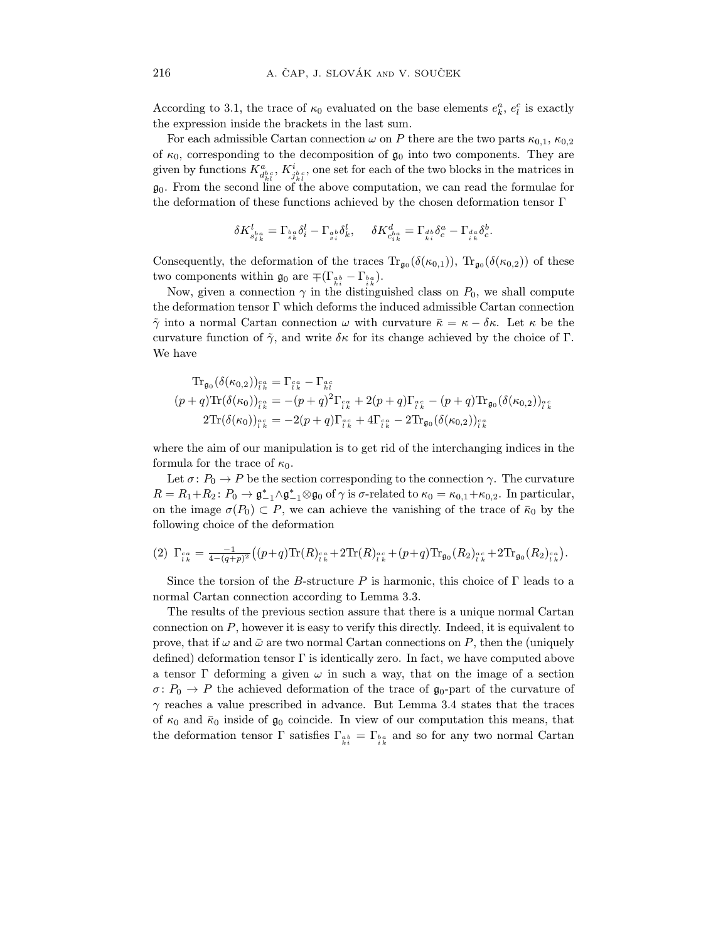According to 3.1, the trace of  $\kappa_0$  evaluated on the base elements  $e_k$ ,  $e_l$  is exactly the expression inside the breakets in the lest sum the expression inside the brackets in the last sum.<br>For each admissible Cartan connection  $\omega$  on P there are the two parts  $\kappa_{0.1}$ ,  $\kappa_{0.2}$ 

of  $\kappa_0$ , corresponding to the decomposition of  $\mathfrak{g}_0$  into two components. They are  $\mathcal{L}^{(i)}$  is the decomposition of  $\mathcal{L}^{(i)}$  are set for each of the two blocks in the metrics: in given by functions  $\Lambda_{d^{bc}_{kl}}^{\vec{a}_{bc}}, \Lambda_{j^{bc}_{kl}}^{\vec{b}_{bc}},$  one set for each of the two blocks in the matrices in  $\frac{d_{kl}}{1}$   $\frac{d_{kl}}{1}$  $g_0$ . From the second line of the above computation, we can read the formulae for  $\Gamma$  $t$  the deformation of the deformation  $\mathcal{L}$  the chosen deformation tensor  $\mathcal{L}$ 

$$
\delta K_{s_{ik}^{b_a}}^l = \Gamma_{s_k^a} \delta_i^l - \Gamma_{s_i^b} \delta_k^l, \quad \delta K_{c_{ik}^{b_a}}^d = \Gamma_{d_b^b} \delta_c^a - \Gamma_{i_k^a} \delta_c^b.
$$

two components within  $\mathfrak{g}_0$  are  $\mp (\Gamma_{\frac{ak}{k_i}} - \Gamma_{\frac{ka}{k_i}})$ .

Now given a connection  $e^{in}$  the distinguishthe deformation tensor  $\Gamma$  which deforms the induced admissible Cartan connection  $\tilde{\gamma}$  into a normal Cartan connection  $\omega$  with curvature  $\bar{\kappa} = \kappa - \delta \kappa$ . Let  $\kappa$  be the  $\gamma$  into a normal Cartan connection  $\alpha$  with curvature  $\alpha$  = και  $\alpha$  = κ  $\alpha$  = κ  $\alpha$  = κ  $\alpha$  $W_0$  have achieved by the choice of  $\zeta$  for its change achieved by the choice of  $\zeta$ . We have

$$
\mathrm{Tr}_{\mathfrak{g}_0}(\delta(\kappa_{0,2}))_{\hat{i}^a_k} = \Gamma_{\hat{i}^a_k} - \Gamma_{\hat{i}^c_k} (p+q)\mathrm{Tr}(\delta(\kappa_0))_{\hat{i}^a_k} = -(p+q)^2\Gamma_{\hat{i}^a_k} + 2(p+q)\Gamma_{\hat{i}^a_k} - (p+q)\mathrm{Tr}_{\mathfrak{g}_0}(\delta(\kappa_{0,2}))_{\hat{i}^a_k} 2\mathrm{Tr}(\delta(\kappa_0))_{\hat{i}^a_k} = -2(p+q)\Gamma_{\hat{i}^a_k} + 4\Gamma_{\hat{i}^a_k} - 2\mathrm{Tr}_{\mathfrak{g}_0}(\delta(\kappa_{0,2}))_{\hat{i}^a_k}.
$$

where the aim of our manipulation is to get rid of the interchanging indices in the formula for the trace of  $\kappa_0$ .

Let  $\sigma: P_0 \to P$  be the section corresponding to the connection  $\gamma$ . The curvature  $\mathcal{L}(P_1, P_2, P_3)$  +  $\mathcal{L}^*$  be the section corresponding to the connection  $\gamma$ . The curvature  $R = R_1 + R_2$ :  $P_0 \rightarrow \mathfrak{g}_{-1} / \mathfrak{g}_{-1}$ <br>on the image  $\sigma(P_1) \subset P_{-1}$ on the image  $\sigma(P_0) \subset P$ , we can achieve the vanishing of the trace of  $\bar{\kappa}_0$  by the following choice of the deformation following choice of the deformation

$$
(2) \ \Gamma_{\iota k}^{ca} = \frac{-1}{4 - (q+p)^2} ((p+q)\text{Tr}(R)_{\iota k}^{ca} + 2\text{Tr}(R)_{\iota k}^{ac} + (p+q)\text{Tr}_{\mathfrak{g}_0}(R_2)_{\iota k}^{ac} + 2\text{Tr}_{\mathfrak{g}_0}(R_2)_{\iota k}^{ca}).
$$

Since the torsion of the B-structure P is harmonic, this choice of  $\Gamma$  leads to a normal Cartan connection according to Lemma 3.3.

The results of the previous section assure that there is a unique normal Cartan connection on  $P$ , however it is easy to verify this directly. Indeed, it is equivalent to prove, that if  $\omega$  and  $\bar{\omega}$  are two normal Cartan connections on P, then the (uniquely defined) deformation tensor  $\Gamma$  is identically zero. In fact, we have computed above a tensor Γ deforming a given  $\omega$  in such a way, that on the image of a section  $\sigma: P_0 \to P$  the achieved deformation of the trace of  $\mathfrak{g}_0$ -part of the curvature of  $\gamma$  reaches a value prescribed in advance. But Lemma 3.4 states that the traces of  $\kappa_0$  and  $\bar{\kappa}_0$  inside of  $\mathfrak{g}_0$  coincide. In view of our computation this means, that  $\sigma$  is a computation to  $\mathcal{L}$  in and  $\sigma$  for our two normal Cartan  $\frac{1}{k}$   $\frac{1}{k}$   $\frac{1}{k}$  and so for any two normal Cartan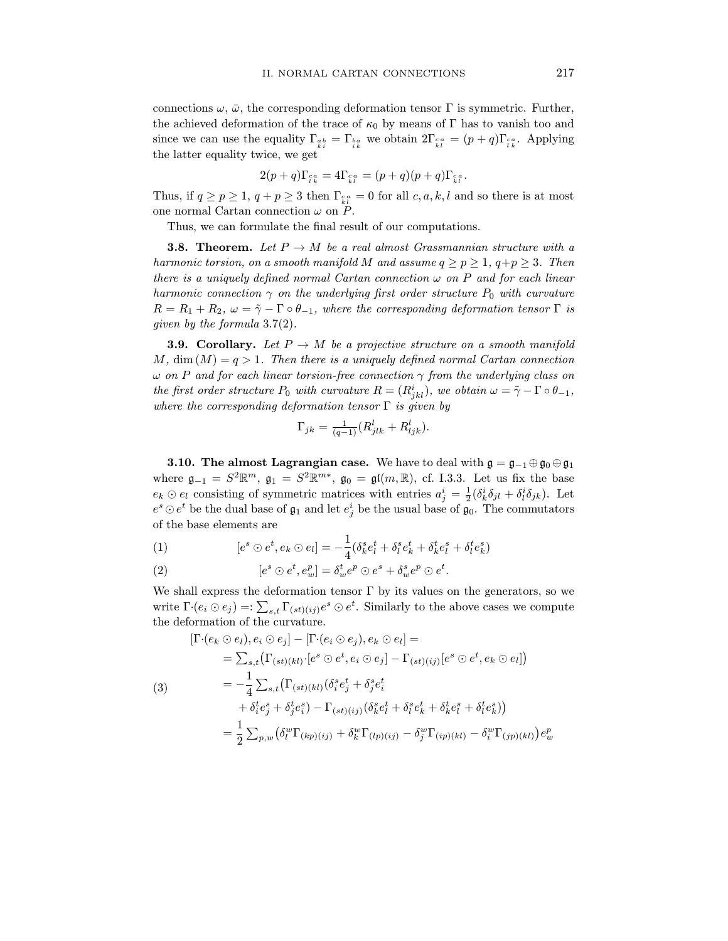connections  $\omega$ ,  $\bar{\omega}$ , the corresponding deformation tensor  $\Gamma$  is symmetric. Further, the achieved deformation of the trace of  $\kappa_0$  by means of  $\Gamma$  has to vanish too and since we can use the equality  $\Gamma_{\alpha b}^{\alpha b} = \Gamma_{\alpha a}^{\alpha b}$  we obtain  $2\Gamma_{\alpha a}^{\alpha a} = (p+q)\Gamma_{\alpha a}^{\alpha a}$ . Applying since we can use the equality  $\frac{1}{k}$  $t_{\text{max}}$  and  $t_{\text{max}}$  there are get

$$
2(p+q)\Gamma_{\varepsilon_k}^{c\,a} = 4\Gamma_{\varepsilon_k}^{c\,a} = (p+q)(p+q)\Gamma_{\varepsilon_k}^{c\,a}.
$$

Thus, if  $q \leq p \leq 1$ ,  $q + p \leq 3$  then  $\frac{1}{k}$  $\frac{1}{l}$  = 0 for all c, a,  $\frac{1}{l}$  and so there is at most

one normal Cartan connection ω on P.  $T_{\rm eff}$  and  $T_{\rm eff}$  formulate the final result of our computations.

**3.8. Theorem.** Let  $P \to M$  be a real almost Grassmannian structure with a harmonic torsion, on a smooth manifold M and assume  $q > p > 1$ ,  $q+p > 3$ . Then there is a uniquely defined normal Cartan connection  $\omega$  on P and for each linear harmonic connection  $\gamma$  on the underlying first order structure  $P_0$  with curvature  $P = P_1 + P_2$  ( $\alpha = \tilde{\alpha}$ )  $\Gamma \circ \theta$  where the expression discussion tensor  $\Gamma$  is  $R_{1}$  and  $R_{2}$   $R_{3}$   $R_{4}$   $R_{5}$   $R_{6}$   $R_{7}$   $R_{8}$   $R_{9}$   $R_{10}$   $R_{11}$   $R_{12}$   $R_{13}$   $R_{14}$   $R_{15}$   $R_{16}$   $R_{17}$   $R_{18}$   $R_{19}$   $R_{10}$   $R_{11}$   $R_{12}$   $R_{13}$   $R_{14}$   $R_{15}$   $R_{16}$   $R_{17}$   $R_{18}$   $R$ given by the formula 3.7(2).<br> **3.9. Corollary.** Let  $P \to M$  be a projective structure on a smooth manifold

 $M$ , dim  $(M) = q > 1$ . Then there is a uniquely defined normal Cartan connection  $\omega$  on P and for each linear torsion-free connection  $\gamma$  from the underlying class on where  $\sum_{i=1}^n a_i$  and  $\sum_{i=1}^n a_i$  is the unit of the unit of  $P = (D^i \cup a_i)$  and  $\sum_{i=1}^n a_i$  on  $\sum_{i=1}^n a_i$ the first order structure  $P_0$  with curvature  $K = (K_{jkl})$ , we obtain  $\omega = \gamma - 1 \circ \theta_{-1}$ ,<br>where the corresponding defermation tensor  $\Gamma$  is given by where the corresponding deformation tensor  $\Gamma$  is given by

$$
\Gamma_{jk} = \frac{1}{(q-1)} (R^l_{jlk} + R^l_{ljk}).
$$

**3.10. The almost Lagrangian case.** We have to deal with  $\mathfrak{g} = \mathfrak{g}_{-1} \oplus \mathfrak{g}_0 \oplus \mathfrak{g}_1$  where  $\mathfrak{g}_{-1} = S^2 \mathbb{R}^m$ ,  $\mathfrak{g}_1 = S^2 \mathbb{R}^{m*}$ ,  $\mathfrak{g}_0 = \mathfrak{gl}(m, \mathbb{R})$ , cf. I.3.3. Let us fix the base where  $\mathfrak{g}_{-1} = S \mathbb{R}^n$ ,  $\mathfrak{g}_1 = S \mathbb{R}^n$ ,  $\mathfrak{g}_0 = \mathfrak{g}_{\mathfrak{l}}(m, \mathbb{R})$ , cf. 1.3.3. Let us fix the base  $e_k \oplus e_l$  consisting of symmetric matrices with entries  $a_j = \frac{1}{2} (o_k o_{jl} + o_l)$ <br> $e_s \odot e_l$  be the dual base of  $a_k$  and let  $e_l^i$  be the usual base of  $a_k$ . The com- $\lim_{n \to \infty}$  $e^2 \cup e^2$  be the dual base of  $\mathfrak{g}_1$  and let  $e_j$  be the usual base of  $\mathfrak{g}_0$ . The commutators

(1) 
$$
[e^s \odot e^t, e_k \odot e_l] = -\frac{1}{4} (\delta^s_k e^t_l + \delta^s_l e^t_k + \delta^t_k e^s_l + \delta^t_l e^s_k)
$$

(2) 
$$
[e^s \odot e^t, e_w^p] = \delta_w^t e^p \odot e^s + \delta_w^s e^p \odot e^t.
$$

write  $\Gamma$ ·( $e_i \odot e_j$ ) =:  $\sum_{s,t} \Gamma_{(st)(ij)} e^s \odot e^t$ . Similarly to the above cases we compute the deformation of the curvature.

$$
[\Gamma \cdot (e_k \odot e_l), e_i \odot e_j] - [\Gamma \cdot (e_i \odot e_j), e_k \odot e_l] =
$$
  
\n
$$
= \sum_{s,t} (\Gamma_{(st)(kl)} \cdot [e^s \odot e^t, e_i \odot e_j] - \Gamma_{(st)(ij)} [e^s \odot e^t, e_k \odot e_l])
$$
  
\n(3)  
\n
$$
= -\frac{1}{4} \sum_{s,t} (\Gamma_{(st)(kl)} (\delta_i^s e_j^t + \delta_j^s e_i^t + \delta_i^s e_k^t + \delta_k^t e_i^s + \delta_l^t e_k^s))
$$
  
\n
$$
+ \delta_i^t e_j^s + \delta_j^t e_i^s) - \Gamma_{(st)(ij)} (\delta_k^s e_l^t + \delta_l^s e_k^t + \delta_k^t e_l^s + \delta_l^t e_k^s))
$$
  
\n
$$
= \frac{1}{2} \sum_{p,w} (\delta_l^w \Gamma_{(kp)(ij)} + \delta_k^w \Gamma_{(lp)(ij)} - \delta_j^w \Gamma_{(ip)(kl)} - \delta_i^w \Gamma_{(jp)(kl)}) e_w^p
$$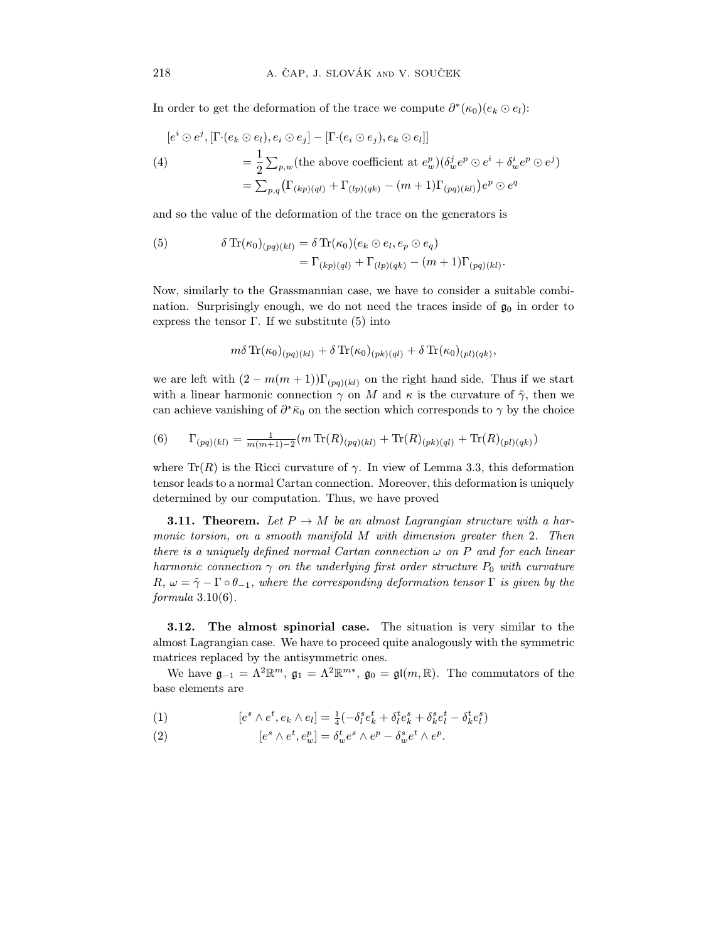In order to get the deformation of the trace we compute  $\partial^*(\kappa_0)(e_k \odot e_l)$ :

$$
[e^i \odot e^j, [\Gamma \cdot (e_k \odot e_l), e_i \odot e_j] - [\Gamma \cdot (e_i \odot e_j), e_k \odot e_l]]
$$
  
\n
$$
= \frac{1}{2} \sum_{p,w} (\text{the above coefficient at } e_w^p) (\delta_w^j e^p \odot e^i + \delta_w^i e^p \odot e^j)
$$
  
\n
$$
= \sum_{p,q} (\Gamma_{(kp)(ql)} + \Gamma_{(lp)(qk)} - (m+1)\Gamma_{(pq)(kl)}) e^p \odot e^q
$$

and so the value of the deformation of the trace on the generators is

(5) 
$$
\delta \operatorname{Tr}(\kappa_0)_{(pq)(kl)} = \delta \operatorname{Tr}(\kappa_0) (e_k \odot e_l, e_p \odot e_q)
$$

$$
= \Gamma_{(kp)(ql)} + \Gamma_{(lp)(qk)} - (m+1) \Gamma_{(pq)(kl)}.
$$

Now, similarly to the Grassmannian case, we have to consider a suitable combination. Surprisingly enough, we do not need the traces inside of  $\mathfrak{g}_0$  in order to nation. Surprises the tensor  $\Gamma$ , If we oughtlinite  $(5)$  into  $\frac{1}{\sqrt{2}}$  into the tensor  $\frac{1}{\sqrt{2}}$  is the substitute (5) into

$$
m\delta \operatorname{Tr}(\kappa_0)_{(pq)(kl)} + \delta \operatorname{Tr}(\kappa_0)_{(pk)(ql)} + \delta \operatorname{Tr}(\kappa_0)_{(pl)(qk)},
$$

we are left with  $(2 - m(m + 1))\Gamma_{(pq)(kl)}$  on the right hand side. Thus if we start with a linear harmonic connection  $\gamma$  on M and  $\kappa$  is the curvature of  $\tilde{\gamma}$ , then we with a linear matrices connection γ on the curvature of  $\alpha$  is the curvature of  $\gamma$ , then we can achieve can achieve vanishing of  $\sigma \kappa_0$  on the section which corresponds to  $\gamma$  by the choice

(6) 
$$
\Gamma_{(pq)(kl)} = \frac{1}{m(m+1)-2} (m \operatorname{Tr}(R)_{(pq)(kl)} + \operatorname{Tr}(R)_{(pk)(ql)} + \operatorname{Tr}(R)_{(pl)(qk)})
$$

where  $\text{Tr}(R)$  is the Ricci curvature of  $\gamma$ . In view of Lemma 3.3, this deformation tensor leads to a normal Cartan connection. Moreover, this deformation is uniquely determined by our computation. Thus, we have proved determined by our computation. Thus, we have proved by  $\mathbf{r}$ 

**3.11. Theorem.** Let  $P \rightarrow M$  be an almost Lagrangian structure with a har-<br>monic torsion, on a smooth manifold M with dimension greater then 2. Then there is a uniquely defined normal Cartan connection  $\omega$  on P and for each linear harmonic connection  $\gamma$  on the underlying first order structure  $P_0$  with curvature  $\overline{P}_{\alpha}$  on  $-\tilde{z}$ . For  $\theta$  where the compared first of form attention tensor F is given by the  $R_{\text{normal}}$   $\sim$  γ  $\sim$  Γ  $\sim$  1, where the corresponding deformation tensor  $\sim$  15 given by the formula 3.10(6) formula 3.10(6).

**3.12.** The almost spinorial case. The situation is very similar to the almost Lagrangian case. We have to proceed quite analogously with the symmetric matrices replaced by the antisymmetric ones.

 $\mu$  have  $\sigma = \Lambda^2 \mathbb{D}^m$   $\sigma = \Lambda^2 \mathbb{D}^{m*}$   $\sigma =$ We have  $\mathfrak{g}_{-1} = \Lambda^2 \mathbb{R}^m$ ,  $\mathfrak{g}_1 = \Lambda^2 \mathbb{R}^m$ ,  $\mathfrak{g}_0 = \mathfrak{g}_{\mathfrak{l}}(m, \mathbb{R})$ . The commutators of the

(1) 
$$
[e^s \wedge e^t, e_k \wedge e_l] = \frac{1}{4}(-\delta_l^s e_k^t + \delta_l^t e_k^s + \delta_k^s e_l^t - \delta_k^t e_l^s)
$$

(2) 
$$
[e^s \wedge e^t, e_w^p] = \delta_w^t e^s \wedge e^p - \delta_w^s e^t \wedge e^p.
$$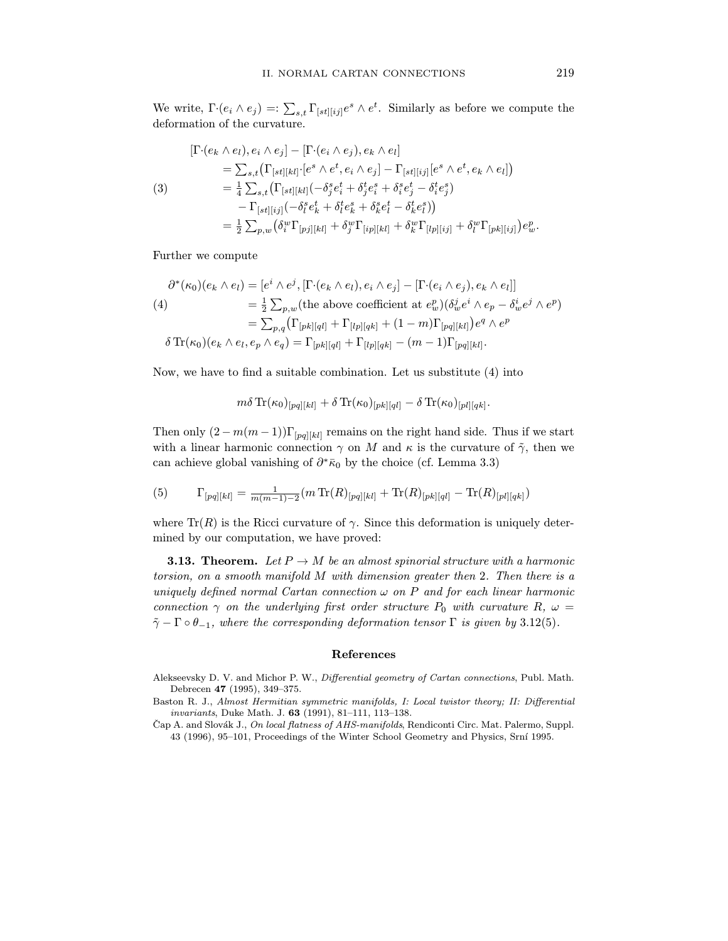We write,  $\Gamma$ · $(e_i \wedge e_j) =: \sum_{s,t} \Gamma_{[st][ij]}e^s \wedge e^t$ . Similarly as before we compute the deformation of the curvature.

$$
\begin{split} [\Gamma \cdot (e_k \wedge e_l), e_i \wedge e_j] - [\Gamma \cdot (e_i \wedge e_j), e_k \wedge e_l] \\ &= \sum_{s,t} \left( \Gamma_{[st][kl]} \cdot [e^s \wedge e^t, e_i \wedge e_j] - \Gamma_{[st][ij]} [e^s \wedge e^t, e_k \wedge e_l] \right) \\ (3) \qquad &= \frac{1}{4} \sum_{s,t} \left( \Gamma_{[st][kl]} (-\delta_j^s e_i^t + \delta_j^t e_i^s + \delta_i^s e_j^t - \delta_i^t e_j^s) \\ &- \Gamma_{[st][ij]} (-\delta_l^s e_k^t + \delta_l^t e_k^s + \delta_k^s e_l^t - \delta_k^t e_l^s) \right) \\ &= \frac{1}{2} \sum_{p,w} \left( \delta_i^w \Gamma_{[pj][kl]} + \delta_j^w \Gamma_{[ip][kl]} + \delta_k^w \Gamma_{[lp][ij]} + \delta_l^w \Gamma_{[pk][ij]} \right) e_w^p. \end{split}
$$

Further we compute

$$
\partial^*(\kappa_0)(e_k \wedge e_l) = [e^i \wedge e^j, [\Gamma \cdot (e_k \wedge e_l), e_i \wedge e_j] - [\Gamma \cdot (e_i \wedge e_j), e_k \wedge e_l]]
$$
  
\n
$$
(4) = \frac{1}{2} \sum_{p,w} (\text{the above coefficient at } e_w^p) (\delta_w^j e^i \wedge e_p - \delta_w^i e^j \wedge e^p)
$$
  
\n
$$
= \sum_{p,q} (\Gamma_{[pk][ql]} + \Gamma_{[lp][qk]} + (1-m) \Gamma_{[pq][kl]}) e^q \wedge e^p
$$
  
\n
$$
\delta \text{Tr}(\kappa_0)(e_k \wedge e_l, e_p \wedge e_q) = \Gamma_{[pk][ql]} + \Gamma_{[lp][qk]} - (m-1) \Gamma_{[pq][kl]}.
$$

Now, we have to find a suitable combination. Let us substitute (4) into

$$
m\delta\, \text{Tr}(\kappa_0)_{[pq][kl]} + \delta\, \text{Tr}(\kappa_0)_{[pk][ql]} - \delta\, \text{Tr}(\kappa_0)_{[pl][qk]}.
$$

Then only  $(2 - m(m - 1))\Gamma_{pq][kl]}$  remains on the right hand side. Thus if we start with a linear harmonic connection  $\gamma$  on M and  $\kappa$  is the curvature of  $\tilde{\gamma}$ , then we with a linear matricent connection γ on the curvature of  $\mu$ , then we have  $\sigma$  ( $\mu$ ), then we can we can write  $\sigma$ can achieve global vanishing of  $\sigma$ ∗ $\kappa_0$  by the choice (cf. Lemma 3.3)

(5) 
$$
\Gamma_{[pq][kl]} = \frac{1}{m(m-1)-2} (m \operatorname{Tr}(R)_{[pq][kl]} + \operatorname{Tr}(R)_{[pk][ql]} - \operatorname{Tr}(R)_{[pl][qk]} )
$$

where  $T(x)$  is the Ricci curvature of γ. Since this deformation is uniquely detter- $\mathbf{r}$  mined by  $\mathbf{r}$  and  $\mathbf{r}$  and  $\mathbf{r}$ 

**3.13. Theorem.** Let  $P \to M$  be an almost spinorial structure with a harmonic torsion, on a smooth manifold M with dimension greater then 2. Then there is a uniquely defined normal Cartan connection  $\omega$  on P and for each linear harmonic connection  $\gamma$  on the underlying first order structure  $P_0$  with curvature  $R, \omega =$  $\tilde{c}$ .  $\Gamma \circ \theta$  where the someomorphics defermation tensor  $\Gamma$  is given by 2.19(5)  $γ^2 = 0 = 1$ , where the corresponding deformation tensor  $\equiv$  is given by  $3.12$ (5).

- Alekseevsky D. V. and Michor P. W., *Differential geometry of Cartan connections*, Publ. Math. Debrecen **47** (1995), 349–375.
- Baston R. J., Almost Hermitian symmetric manifolds, I: Local twistor theory; II: Differential invariants, Duke Math. J.  $63$  (1991), 81-111, 113-138.
- Čap A. and Slovák J., On local flatness of AHS-manifolds, Rendiconti Circ. Mat. Palermo, Suppl. Cap A. and Slovak J., On local flatness of AHS-manifolds, Rendiconti Circ. Mat. Palermo, Suppl.<br>13 (1006) 05–101 Proceedings of the Winter School Ceometry and Physics Srní 1005  $\frac{1}{2}$  (1996), 95–101, Proceedings of the Winter School Geometry and Physics, Srn $\frac{1}{2}$